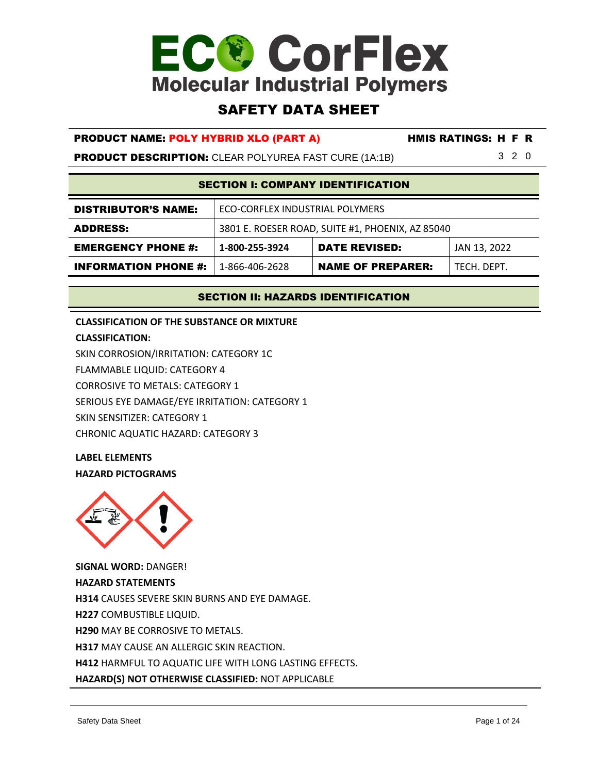

## SAFETY DATA SHEET

#### PRODUCT NAME: POLY HYBRID XLO (PART A) HMIS RATINGS: H F R

**PRODUCT DESCRIPTION:** CLEAR POLYUREA FAST CURE (1A:1B) 3 2 0

#### SECTION I: COMPANY IDENTIFICATION

| <b>DISTRIBUTOR'S NAME:</b>  | ECO-CORFLEX INDUSTRIAL POLYMERS                        |                          |             |
|-----------------------------|--------------------------------------------------------|--------------------------|-------------|
| ADDRESS:                    | 3801 E. ROESER ROAD, SUITE #1, PHOENIX, AZ 85040       |                          |             |
| <b>EMERGENCY PHONE #:</b>   | <b>DATE REVISED:</b><br>JAN 13, 2022<br>1-800-255-3924 |                          |             |
| <b>INFORMATION PHONE #:</b> | 1-866-406-2628                                         | <b>NAME OF PREPARER:</b> | TECH. DEPT. |

#### SECTION II: HAZARDS IDENTIFICATION

#### **CLASSIFICATION OF THE SUBSTANCE OR MIXTURE**

#### **CLASSIFICATION:**

SKIN CORROSION/IRRITATION: CATEGORY 1C

FLAMMABLE LIQUID: CATEGORY 4

CORROSIVE TO METALS: CATEGORY 1

SERIOUS EYE DAMAGE/EYE IRRITATION: CATEGORY 1

SKIN SENSITIZER: CATEGORY 1

CHRONIC AQUATIC HAZARD: CATEGORY 3

#### **LABEL ELEMENTS**

#### **HAZARD PICTOGRAMS**



**SIGNAL WORD:** DANGER! **HAZARD STATEMENTS H314** CAUSES SEVERE SKIN BURNS AND EYE DAMAGE. **H227** COMBUSTIBLE LIQUID. **H290** MAY BE CORROSIVE TO METALS. **H317** MAY CAUSE AN ALLERGIC SKIN REACTION. **H412** HARMFUL TO AQUATIC LIFE WITH LONG LASTING EFFECTS. **HAZARD(S) NOT OTHERWISE CLASSIFIED:** NOT APPLICABLE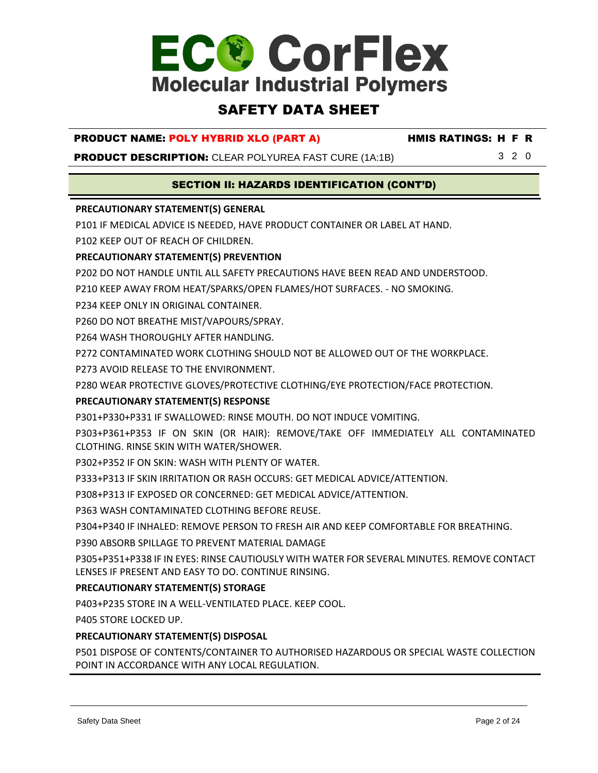## SAFETY DATA SHEET

#### PRODUCT NAME: POLY HYBRID XLO (PART A) HMIS RATINGS: H F R

**PRODUCT DESCRIPTION:** CLEAR POLYUREA FAST CURE (1A:1B) 3 2 0

#### SECTION II: HAZARDS IDENTIFICATION (CONT'D)

#### **PRECAUTIONARY STATEMENT(S) GENERAL**

P101 IF MEDICAL ADVICE IS NEEDED, HAVE PRODUCT CONTAINER OR LABEL AT HAND.

P102 KEEP OUT OF REACH OF CHILDREN.

#### **PRECAUTIONARY STATEMENT(S) PREVENTION**

P202 DO NOT HANDLE UNTIL ALL SAFETY PRECAUTIONS HAVE BEEN READ AND UNDERSTOOD.

P210 KEEP AWAY FROM HEAT/SPARKS/OPEN FLAMES/HOT SURFACES. - NO SMOKING.

P234 KEEP ONLY IN ORIGINAL CONTAINER.

P260 DO NOT BREATHE MIST/VAPOURS/SPRAY.

P264 WASH THOROUGHLY AFTER HANDLING.

P272 CONTAMINATED WORK CLOTHING SHOULD NOT BE ALLOWED OUT OF THE WORKPLACE.

P273 AVOID RELEASE TO THE ENVIRONMENT.

P280 WEAR PROTECTIVE GLOVES/PROTECTIVE CLOTHING/EYE PROTECTION/FACE PROTECTION.

#### **PRECAUTIONARY STATEMENT(S) RESPONSE**

P301+P330+P331 IF SWALLOWED: RINSE MOUTH. DO NOT INDUCE VOMITING.

P303+P361+P353 IF ON SKIN (OR HAIR): REMOVE/TAKE OFF IMMEDIATELY ALL CONTAMINATED CLOTHING. RINSE SKIN WITH WATER/SHOWER.

P302+P352 IF ON SKIN: WASH WITH PLENTY OF WATER.

P333+P313 IF SKIN IRRITATION OR RASH OCCURS: GET MEDICAL ADVICE/ATTENTION.

P308+P313 IF EXPOSED OR CONCERNED: GET MEDICAL ADVICE/ATTENTION.

P363 WASH CONTAMINATED CLOTHING BEFORE REUSE.

P304+P340 IF INHALED: REMOVE PERSON TO FRESH AIR AND KEEP COMFORTABLE FOR BREATHING.

P390 ABSORB SPILLAGE TO PREVENT MATERIAL DAMAGE

P305+P351+P338 IF IN EYES: RINSE CAUTIOUSLY WITH WATER FOR SEVERAL MINUTES. REMOVE CONTACT LENSES IF PRESENT AND EASY TO DO. CONTINUE RINSING.

#### **PRECAUTIONARY STATEMENT(S) STORAGE**

P403+P235 STORE IN A WELL-VENTILATED PLACE. KEEP COOL.

P405 STORE LOCKED UP.

#### **PRECAUTIONARY STATEMENT(S) DISPOSAL**

P501 DISPOSE OF CONTENTS/CONTAINER TO AUTHORISED HAZARDOUS OR SPECIAL WASTE COLLECTION POINT IN ACCORDANCE WITH ANY LOCAL REGULATION.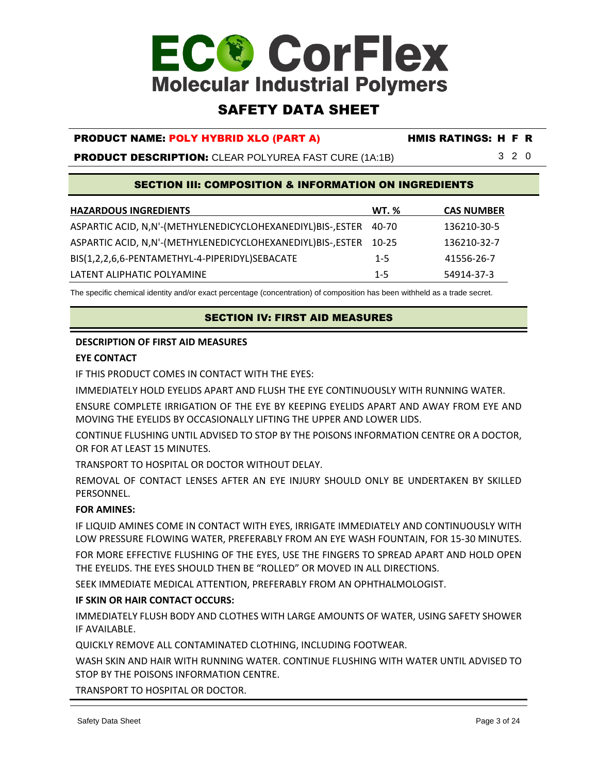## SAFETY DATA SHEET

#### PRODUCT NAME: POLY HYBRID XLO (PART A) HMIS RATINGS: H F R

**PRODUCT DESCRIPTION:** CLEAR POLYUREA FAST CURE (1A:1B) 3 2 0

#### SECTION III: COMPOSITION & INFORMATION ON INGREDIENTS

| <b>HAZARDOUS INGREDIENTS</b>                                | <b>WT.</b> % | <b>CAS NUMBER</b> |
|-------------------------------------------------------------|--------------|-------------------|
| ASPARTIC ACID, N,N'-(METHYLENEDICYCLOHEXANEDIYL)BIS-, ESTER | 40-70        | 136210-30-5       |
| ASPARTIC ACID, N,N'-(METHYLENEDICYCLOHEXANEDIYL)BIS-, ESTER | $10 - 25$    | 136210-32-7       |
| BIS(1,2,2,6,6-PENTAMETHYL-4-PIPERIDYL)SEBACATE              | $1 - 5$      | 41556-26-7        |
| LATENT ALIPHATIC POLYAMINE                                  | $1 - 5$      | 54914-37-3        |

The specific chemical identity and/or exact percentage (concentration) of composition has been withheld as a trade secret.

#### SECTION IV: FIRST AID MEASURES

#### **DESCRIPTION OF FIRST AID MEASURES**

#### **EYE CONTACT**

IF THIS PRODUCT COMES IN CONTACT WITH THE EYES:

IMMEDIATELY HOLD EYELIDS APART AND FLUSH THE EYE CONTINUOUSLY WITH RUNNING WATER.

ENSURE COMPLETE IRRIGATION OF THE EYE BY KEEPING EYELIDS APART AND AWAY FROM EYE AND MOVING THE EYELIDS BY OCCASIONALLY LIFTING THE UPPER AND LOWER LIDS.

CONTINUE FLUSHING UNTIL ADVISED TO STOP BY THE POISONS INFORMATION CENTRE OR A DOCTOR, OR FOR AT LEAST 15 MINUTES.

TRANSPORT TO HOSPITAL OR DOCTOR WITHOUT DELAY.

REMOVAL OF CONTACT LENSES AFTER AN EYE INJURY SHOULD ONLY BE UNDERTAKEN BY SKILLED PERSONNEL.

#### **FOR AMINES:**

IF LIQUID AMINES COME IN CONTACT WITH EYES, IRRIGATE IMMEDIATELY AND CONTINUOUSLY WITH LOW PRESSURE FLOWING WATER, PREFERABLY FROM AN EYE WASH FOUNTAIN, FOR 15-30 MINUTES.

FOR MORE EFFECTIVE FLUSHING OF THE EYES, USE THE FINGERS TO SPREAD APART AND HOLD OPEN THE EYELIDS. THE EYES SHOULD THEN BE "ROLLED" OR MOVED IN ALL DIRECTIONS.

SEEK IMMEDIATE MEDICAL ATTENTION, PREFERABLY FROM AN OPHTHALMOLOGIST.

#### **IF SKIN OR HAIR CONTACT OCCURS:**

IMMEDIATELY FLUSH BODY AND CLOTHES WITH LARGE AMOUNTS OF WATER, USING SAFETY SHOWER IF AVAILABLE.

QUICKLY REMOVE ALL CONTAMINATED CLOTHING, INCLUDING FOOTWEAR.

WASH SKIN AND HAIR WITH RUNNING WATER. CONTINUE FLUSHING WITH WATER UNTIL ADVISED TO STOP BY THE POISONS INFORMATION CENTRE.

TRANSPORT TO HOSPITAL OR DOCTOR.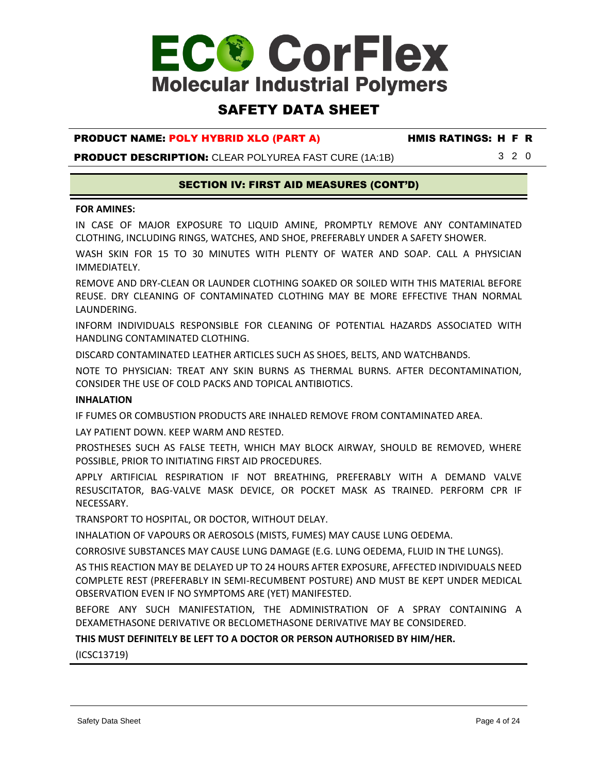### SAFETY DATA SHEET

#### PRODUCT NAME: POLY HYBRID XLO (PART A) HMIS RATINGS: H F R

**PRODUCT DESCRIPTION:** CLEAR POLYUREA FAST CURE (1A:1B) 3 2 0

#### SECTION IV: FIRST AID MEASURES (CONT'D)

#### **FOR AMINES:**

IN CASE OF MAJOR EXPOSURE TO LIQUID AMINE, PROMPTLY REMOVE ANY CONTAMINATED CLOTHING, INCLUDING RINGS, WATCHES, AND SHOE, PREFERABLY UNDER A SAFETY SHOWER.

WASH SKIN FOR 15 TO 30 MINUTES WITH PLENTY OF WATER AND SOAP. CALL A PHYSICIAN IMMEDIATELY.

REMOVE AND DRY-CLEAN OR LAUNDER CLOTHING SOAKED OR SOILED WITH THIS MATERIAL BEFORE REUSE. DRY CLEANING OF CONTAMINATED CLOTHING MAY BE MORE EFFECTIVE THAN NORMAL LAUNDERING.

INFORM INDIVIDUALS RESPONSIBLE FOR CLEANING OF POTENTIAL HAZARDS ASSOCIATED WITH HANDLING CONTAMINATED CLOTHING.

DISCARD CONTAMINATED LEATHER ARTICLES SUCH AS SHOES, BELTS, AND WATCHBANDS.

NOTE TO PHYSICIAN: TREAT ANY SKIN BURNS AS THERMAL BURNS. AFTER DECONTAMINATION, CONSIDER THE USE OF COLD PACKS AND TOPICAL ANTIBIOTICS.

#### **INHALATION**

IF FUMES OR COMBUSTION PRODUCTS ARE INHALED REMOVE FROM CONTAMINATED AREA.

LAY PATIENT DOWN. KEEP WARM AND RESTED.

PROSTHESES SUCH AS FALSE TEETH, WHICH MAY BLOCK AIRWAY, SHOULD BE REMOVED, WHERE POSSIBLE, PRIOR TO INITIATING FIRST AID PROCEDURES.

APPLY ARTIFICIAL RESPIRATION IF NOT BREATHING, PREFERABLY WITH A DEMAND VALVE RESUSCITATOR, BAG-VALVE MASK DEVICE, OR POCKET MASK AS TRAINED. PERFORM CPR IF NECESSARY.

TRANSPORT TO HOSPITAL, OR DOCTOR, WITHOUT DELAY.

INHALATION OF VAPOURS OR AEROSOLS (MISTS, FUMES) MAY CAUSE LUNG OEDEMA.

CORROSIVE SUBSTANCES MAY CAUSE LUNG DAMAGE (E.G. LUNG OEDEMA, FLUID IN THE LUNGS).

AS THIS REACTION MAY BE DELAYED UP TO 24 HOURS AFTER EXPOSURE, AFFECTED INDIVIDUALS NEED COMPLETE REST (PREFERABLY IN SEMI-RECUMBENT POSTURE) AND MUST BE KEPT UNDER MEDICAL OBSERVATION EVEN IF NO SYMPTOMS ARE (YET) MANIFESTED.

BEFORE ANY SUCH MANIFESTATION, THE ADMINISTRATION OF A SPRAY CONTAINING A DEXAMETHASONE DERIVATIVE OR BECLOMETHASONE DERIVATIVE MAY BE CONSIDERED.

#### **THIS MUST DEFINITELY BE LEFT TO A DOCTOR OR PERSON AUTHORISED BY HIM/HER.**

(ICSC13719)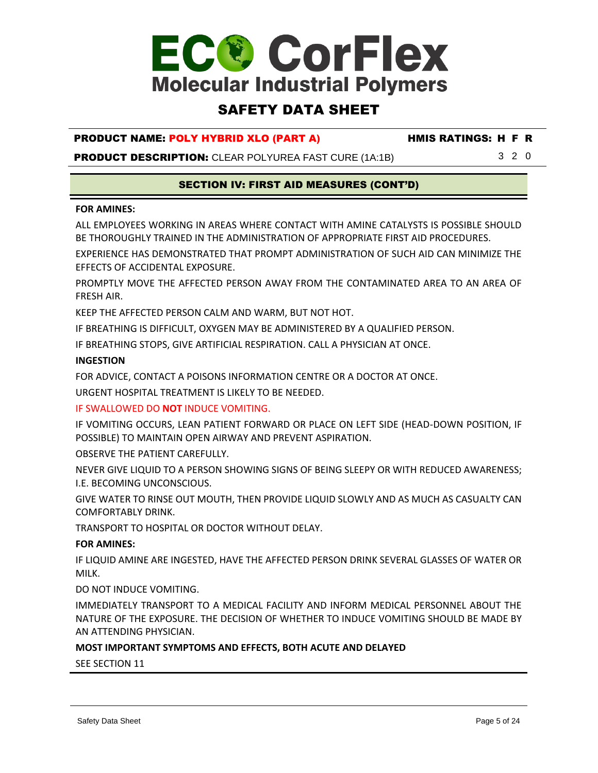## SAFETY DATA SHEET

#### PRODUCT NAME: POLY HYBRID XLO (PART A) HMIS RATINGS: H F R

**PRODUCT DESCRIPTION:** CLEAR POLYUREA FAST CURE (1A:1B) 3 2 0

#### SECTION IV: FIRST AID MEASURES (CONT'D)

#### **FOR AMINES:**

ALL EMPLOYEES WORKING IN AREAS WHERE CONTACT WITH AMINE CATALYSTS IS POSSIBLE SHOULD BE THOROUGHLY TRAINED IN THE ADMINISTRATION OF APPROPRIATE FIRST AID PROCEDURES.

EXPERIENCE HAS DEMONSTRATED THAT PROMPT ADMINISTRATION OF SUCH AID CAN MINIMIZE THE EFFECTS OF ACCIDENTAL EXPOSURE.

PROMPTLY MOVE THE AFFECTED PERSON AWAY FROM THE CONTAMINATED AREA TO AN AREA OF FRESH AIR.

KEEP THE AFFECTED PERSON CALM AND WARM, BUT NOT HOT.

IF BREATHING IS DIFFICULT, OXYGEN MAY BE ADMINISTERED BY A QUALIFIED PERSON.

IF BREATHING STOPS, GIVE ARTIFICIAL RESPIRATION. CALL A PHYSICIAN AT ONCE.

#### **INGESTION**

FOR ADVICE, CONTACT A POISONS INFORMATION CENTRE OR A DOCTOR AT ONCE.

URGENT HOSPITAL TREATMENT IS LIKELY TO BE NEEDED.

#### IF SWALLOWED DO **NOT** INDUCE VOMITING.

IF VOMITING OCCURS, LEAN PATIENT FORWARD OR PLACE ON LEFT SIDE (HEAD-DOWN POSITION, IF POSSIBLE) TO MAINTAIN OPEN AIRWAY AND PREVENT ASPIRATION.

OBSERVE THE PATIENT CAREFULLY.

NEVER GIVE LIQUID TO A PERSON SHOWING SIGNS OF BEING SLEEPY OR WITH REDUCED AWARENESS; I.E. BECOMING UNCONSCIOUS.

GIVE WATER TO RINSE OUT MOUTH, THEN PROVIDE LIQUID SLOWLY AND AS MUCH AS CASUALTY CAN COMFORTABLY DRINK.

TRANSPORT TO HOSPITAL OR DOCTOR WITHOUT DELAY.

#### **FOR AMINES:**

IF LIQUID AMINE ARE INGESTED, HAVE THE AFFECTED PERSON DRINK SEVERAL GLASSES OF WATER OR MILK.

DO NOT INDUCE VOMITING.

IMMEDIATELY TRANSPORT TO A MEDICAL FACILITY AND INFORM MEDICAL PERSONNEL ABOUT THE NATURE OF THE EXPOSURE. THE DECISION OF WHETHER TO INDUCE VOMITING SHOULD BE MADE BY AN ATTENDING PHYSICIAN.

#### **MOST IMPORTANT SYMPTOMS AND EFFECTS, BOTH ACUTE AND DELAYED**

SEE SECTION 11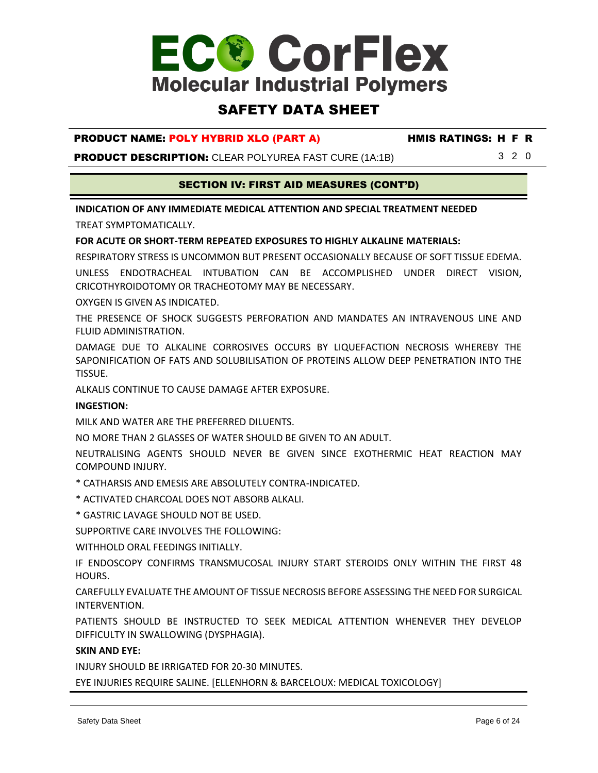### SAFETY DATA SHEET

#### PRODUCT NAME: POLY HYBRID XLO (PART A) HMIS RATINGS: H F R

**PRODUCT DESCRIPTION:** CLEAR POLYUREA FAST CURE (1A:1B) 3 2 0

#### SECTION IV: FIRST AID MEASURES (CONT'D)

**INDICATION OF ANY IMMEDIATE MEDICAL ATTENTION AND SPECIAL TREATMENT NEEDED** TREAT SYMPTOMATICALLY.

#### **FOR ACUTE OR SHORT-TERM REPEATED EXPOSURES TO HIGHLY ALKALINE MATERIALS:**

RESPIRATORY STRESS IS UNCOMMON BUT PRESENT OCCASIONALLY BECAUSE OF SOFT TISSUE EDEMA.

UNLESS ENDOTRACHEAL INTUBATION CAN BE ACCOMPLISHED UNDER DIRECT VISION, CRICOTHYROIDOTOMY OR TRACHEOTOMY MAY BE NECESSARY.

OXYGEN IS GIVEN AS INDICATED.

THE PRESENCE OF SHOCK SUGGESTS PERFORATION AND MANDATES AN INTRAVENOUS LINE AND FLUID ADMINISTRATION.

DAMAGE DUE TO ALKALINE CORROSIVES OCCURS BY LIQUEFACTION NECROSIS WHEREBY THE SAPONIFICATION OF FATS AND SOLUBILISATION OF PROTEINS ALLOW DEEP PENETRATION INTO THE TISSUE.

ALKALIS CONTINUE TO CAUSE DAMAGE AFTER EXPOSURE.

#### **INGESTION:**

MILK AND WATER ARE THE PREFERRED DILUENTS.

NO MORE THAN 2 GLASSES OF WATER SHOULD BE GIVEN TO AN ADULT.

NEUTRALISING AGENTS SHOULD NEVER BE GIVEN SINCE EXOTHERMIC HEAT REACTION MAY COMPOUND INJURY.

- \* CATHARSIS AND EMESIS ARE ABSOLUTELY CONTRA-INDICATED.
- \* ACTIVATED CHARCOAL DOES NOT ABSORB ALKALI.
- \* GASTRIC LAVAGE SHOULD NOT BE USED.

SUPPORTIVE CARE INVOLVES THE FOLLOWING:

WITHHOLD ORAL FEEDINGS INITIALLY.

IF ENDOSCOPY CONFIRMS TRANSMUCOSAL INJURY START STEROIDS ONLY WITHIN THE FIRST 48 HOURS.

CAREFULLY EVALUATE THE AMOUNT OF TISSUE NECROSIS BEFORE ASSESSING THE NEED FOR SURGICAL INTERVENTION.

PATIENTS SHOULD BE INSTRUCTED TO SEEK MEDICAL ATTENTION WHENEVER THEY DEVELOP DIFFICULTY IN SWALLOWING (DYSPHAGIA).

#### **SKIN AND EYE:**

INJURY SHOULD BE IRRIGATED FOR 20-30 MINUTES.

EYE INJURIES REQUIRE SALINE. [ELLENHORN & BARCELOUX: MEDICAL TOXICOLOGY]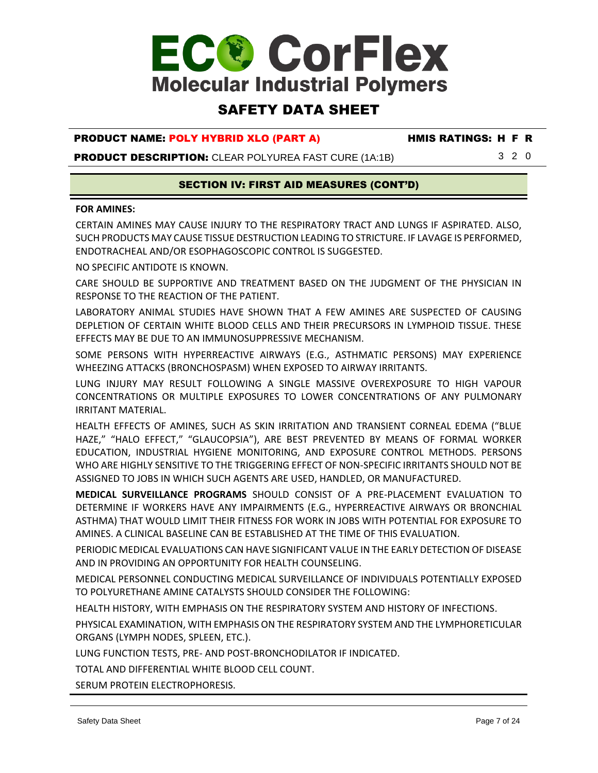### SAFETY DATA SHEET

#### PRODUCT NAME: POLY HYBRID XLO (PART A) HMIS RATINGS: H F R

**PRODUCT DESCRIPTION:** CLEAR POLYUREA FAST CURE (1A:1B) 3 2 0

SECTION IV: FIRST AID MEASURES (CONT'D)

#### **FOR AMINES:**

CERTAIN AMINES MAY CAUSE INJURY TO THE RESPIRATORY TRACT AND LUNGS IF ASPIRATED. ALSO, SUCH PRODUCTS MAY CAUSE TISSUE DESTRUCTION LEADING TO STRICTURE. IF LAVAGE IS PERFORMED, ENDOTRACHEAL AND/OR ESOPHAGOSCOPIC CONTROL IS SUGGESTED.

NO SPECIFIC ANTIDOTE IS KNOWN.

CARE SHOULD BE SUPPORTIVE AND TREATMENT BASED ON THE JUDGMENT OF THE PHYSICIAN IN RESPONSE TO THE REACTION OF THE PATIENT.

LABORATORY ANIMAL STUDIES HAVE SHOWN THAT A FEW AMINES ARE SUSPECTED OF CAUSING DEPLETION OF CERTAIN WHITE BLOOD CELLS AND THEIR PRECURSORS IN LYMPHOID TISSUE. THESE EFFECTS MAY BE DUE TO AN IMMUNOSUPPRESSIVE MECHANISM.

SOME PERSONS WITH HYPERREACTIVE AIRWAYS (E.G., ASTHMATIC PERSONS) MAY EXPERIENCE WHEEZING ATTACKS (BRONCHOSPASM) WHEN EXPOSED TO AIRWAY IRRITANTS.

LUNG INJURY MAY RESULT FOLLOWING A SINGLE MASSIVE OVEREXPOSURE TO HIGH VAPOUR CONCENTRATIONS OR MULTIPLE EXPOSURES TO LOWER CONCENTRATIONS OF ANY PULMONARY IRRITANT MATERIAL.

HEALTH EFFECTS OF AMINES, SUCH AS SKIN IRRITATION AND TRANSIENT CORNEAL EDEMA ("BLUE HAZE," "HALO EFFECT," "GLAUCOPSIA"), ARE BEST PREVENTED BY MEANS OF FORMAL WORKER EDUCATION, INDUSTRIAL HYGIENE MONITORING, AND EXPOSURE CONTROL METHODS. PERSONS WHO ARE HIGHLY SENSITIVE TO THE TRIGGERING EFFECT OF NON-SPECIFIC IRRITANTS SHOULD NOT BE ASSIGNED TO JOBS IN WHICH SUCH AGENTS ARE USED, HANDLED, OR MANUFACTURED.

**MEDICAL SURVEILLANCE PROGRAMS** SHOULD CONSIST OF A PRE-PLACEMENT EVALUATION TO DETERMINE IF WORKERS HAVE ANY IMPAIRMENTS (E.G., HYPERREACTIVE AIRWAYS OR BRONCHIAL ASTHMA) THAT WOULD LIMIT THEIR FITNESS FOR WORK IN JOBS WITH POTENTIAL FOR EXPOSURE TO AMINES. A CLINICAL BASELINE CAN BE ESTABLISHED AT THE TIME OF THIS EVALUATION.

PERIODIC MEDICAL EVALUATIONS CAN HAVE SIGNIFICANT VALUE IN THE EARLY DETECTION OF DISEASE AND IN PROVIDING AN OPPORTUNITY FOR HEALTH COUNSELING.

MEDICAL PERSONNEL CONDUCTING MEDICAL SURVEILLANCE OF INDIVIDUALS POTENTIALLY EXPOSED TO POLYURETHANE AMINE CATALYSTS SHOULD CONSIDER THE FOLLOWING:

HEALTH HISTORY, WITH EMPHASIS ON THE RESPIRATORY SYSTEM AND HISTORY OF INFECTIONS.

PHYSICAL EXAMINATION, WITH EMPHASIS ON THE RESPIRATORY SYSTEM AND THE LYMPHORETICULAR ORGANS (LYMPH NODES, SPLEEN, ETC.).

LUNG FUNCTION TESTS, PRE- AND POST-BRONCHODILATOR IF INDICATED.

TOTAL AND DIFFERENTIAL WHITE BLOOD CELL COUNT.

SERUM PROTEIN ELECTROPHORESIS.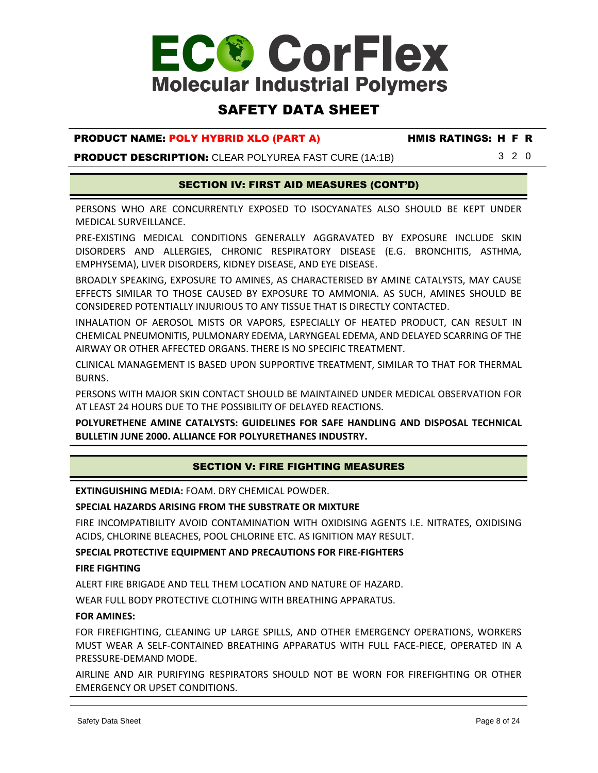### SAFETY DATA SHEET

#### PRODUCT NAME: POLY HYBRID XLO (PART A) HMIS RATINGS: H F R

**PRODUCT DESCRIPTION:** CLEAR POLYUREA FAST CURE (1A:1B) 3 2 0

#### SECTION IV: FIRST AID MEASURES (CONT'D)

PERSONS WHO ARE CONCURRENTLY EXPOSED TO ISOCYANATES ALSO SHOULD BE KEPT UNDER MEDICAL SURVEILLANCE.

PRE-EXISTING MEDICAL CONDITIONS GENERALLY AGGRAVATED BY EXPOSURE INCLUDE SKIN DISORDERS AND ALLERGIES, CHRONIC RESPIRATORY DISEASE (E.G. BRONCHITIS, ASTHMA, EMPHYSEMA), LIVER DISORDERS, KIDNEY DISEASE, AND EYE DISEASE.

BROADLY SPEAKING, EXPOSURE TO AMINES, AS CHARACTERISED BY AMINE CATALYSTS, MAY CAUSE EFFECTS SIMILAR TO THOSE CAUSED BY EXPOSURE TO AMMONIA. AS SUCH, AMINES SHOULD BE CONSIDERED POTENTIALLY INJURIOUS TO ANY TISSUE THAT IS DIRECTLY CONTACTED.

INHALATION OF AEROSOL MISTS OR VAPORS, ESPECIALLY OF HEATED PRODUCT, CAN RESULT IN CHEMICAL PNEUMONITIS, PULMONARY EDEMA, LARYNGEAL EDEMA, AND DELAYED SCARRING OF THE AIRWAY OR OTHER AFFECTED ORGANS. THERE IS NO SPECIFIC TREATMENT.

CLINICAL MANAGEMENT IS BASED UPON SUPPORTIVE TREATMENT, SIMILAR TO THAT FOR THERMAL BURNS.

PERSONS WITH MAJOR SKIN CONTACT SHOULD BE MAINTAINED UNDER MEDICAL OBSERVATION FOR AT LEAST 24 HOURS DUE TO THE POSSIBILITY OF DELAYED REACTIONS.

**POLYURETHENE AMINE CATALYSTS: GUIDELINES FOR SAFE HANDLING AND DISPOSAL TECHNICAL BULLETIN JUNE 2000. ALLIANCE FOR POLYURETHANES INDUSTRY.**

#### SECTION V: FIRE FIGHTING MEASURES

**EXTINGUISHING MEDIA:** FOAM. DRY CHEMICAL POWDER.

#### **SPECIAL HAZARDS ARISING FROM THE SUBSTRATE OR MIXTURE**

FIRE INCOMPATIBILITY AVOID CONTAMINATION WITH OXIDISING AGENTS I.E. NITRATES, OXIDISING ACIDS, CHLORINE BLEACHES, POOL CHLORINE ETC. AS IGNITION MAY RESULT.

**SPECIAL PROTECTIVE EQUIPMENT AND PRECAUTIONS FOR FIRE-FIGHTERS**

#### **FIRE FIGHTING**

ALERT FIRE BRIGADE AND TELL THEM LOCATION AND NATURE OF HAZARD.

WEAR FULL BODY PROTECTIVE CLOTHING WITH BREATHING APPARATUS.

#### **FOR AMINES:**

FOR FIREFIGHTING, CLEANING UP LARGE SPILLS, AND OTHER EMERGENCY OPERATIONS, WORKERS MUST WEAR A SELF-CONTAINED BREATHING APPARATUS WITH FULL FACE-PIECE, OPERATED IN A PRESSURE-DEMAND MODE.

AIRLINE AND AIR PURIFYING RESPIRATORS SHOULD NOT BE WORN FOR FIREFIGHTING OR OTHER EMERGENCY OR UPSET CONDITIONS.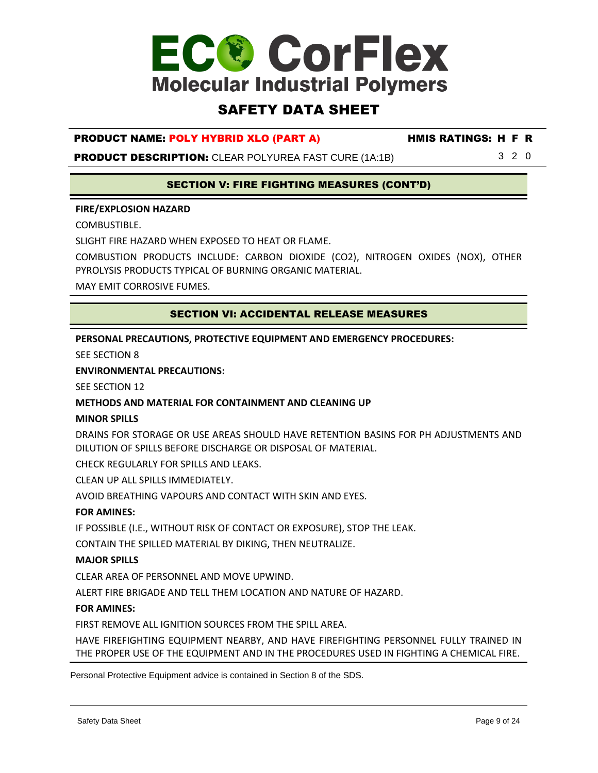

### SAFETY DATA SHEET

#### PRODUCT NAME: POLY HYBRID XLO (PART A) HMIS RATINGS: H F R

**PRODUCT DESCRIPTION:** CLEAR POLYUREA FAST CURE (1A:1B) 3 2 0

#### SECTION V: FIRE FIGHTING MEASURES (CONT'D)

#### **FIRE/EXPLOSION HAZARD**

COMBUSTIBLE.

SLIGHT FIRE HAZARD WHEN EXPOSED TO HEAT OR FLAME.

COMBUSTION PRODUCTS INCLUDE: CARBON DIOXIDE (CO2), NITROGEN OXIDES (NOX), OTHER PYROLYSIS PRODUCTS TYPICAL OF BURNING ORGANIC MATERIAL.

MAY EMIT CORROSIVE FUMES.

#### SECTION VI: ACCIDENTAL RELEASE MEASURES

**PERSONAL PRECAUTIONS, PROTECTIVE EQUIPMENT AND EMERGENCY PROCEDURES:**

SEE SECTION 8

#### **ENVIRONMENTAL PRECAUTIONS:**

SEE SECTION 12

#### **METHODS AND MATERIAL FOR CONTAINMENT AND CLEANING UP**

#### **MINOR SPILLS**

DRAINS FOR STORAGE OR USE AREAS SHOULD HAVE RETENTION BASINS FOR PH ADJUSTMENTS AND DILUTION OF SPILLS BEFORE DISCHARGE OR DISPOSAL OF MATERIAL.

CHECK REGULARLY FOR SPILLS AND LEAKS.

CLEAN UP ALL SPILLS IMMEDIATELY.

AVOID BREATHING VAPOURS AND CONTACT WITH SKIN AND EYES.

#### **FOR AMINES:**

IF POSSIBLE (I.E., WITHOUT RISK OF CONTACT OR EXPOSURE), STOP THE LEAK.

CONTAIN THE SPILLED MATERIAL BY DIKING, THEN NEUTRALIZE.

#### **MAJOR SPILLS**

CLEAR AREA OF PERSONNEL AND MOVE UPWIND.

ALERT FIRE BRIGADE AND TELL THEM LOCATION AND NATURE OF HAZARD.

#### **FOR AMINES:**

FIRST REMOVE ALL IGNITION SOURCES FROM THE SPILL AREA.

HAVE FIREFIGHTING EQUIPMENT NEARBY, AND HAVE FIREFIGHTING PERSONNEL FULLY TRAINED IN THE PROPER USE OF THE EQUIPMENT AND IN THE PROCEDURES USED IN FIGHTING A CHEMICAL FIRE.

Personal Protective Equipment advice is contained in Section 8 of the SDS.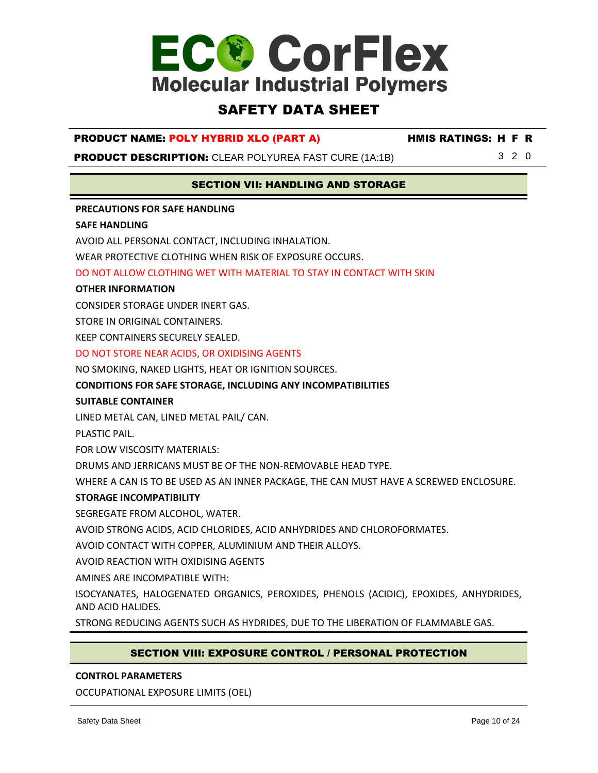## SAFETY DATA SHEET

#### PRODUCT NAME: POLY HYBRID XLO (PART A) HMIS RATINGS: H F R

**PRODUCT DESCRIPTION:** CLEAR POLYUREA FAST CURE (1A:1B) 3 2 0

#### SECTION VII: HANDLING AND STORAGE

#### **PRECAUTIONS FOR SAFE HANDLING**

#### **SAFE HANDLING**

AVOID ALL PERSONAL CONTACT, INCLUDING INHALATION.

WEAR PROTECTIVE CLOTHING WHEN RISK OF EXPOSURE OCCURS.

DO NOT ALLOW CLOTHING WET WITH MATERIAL TO STAY IN CONTACT WITH SKIN

#### **OTHER INFORMATION**

CONSIDER STORAGE UNDER INERT GAS.

STORE IN ORIGINAL CONTAINERS.

KEEP CONTAINERS SECURELY SEALED.

#### DO NOT STORE NEAR ACIDS, OR OXIDISING AGENTS

NO SMOKING, NAKED LIGHTS, HEAT OR IGNITION SOURCES.

#### **CONDITIONS FOR SAFE STORAGE, INCLUDING ANY INCOMPATIBILITIES**

#### **SUITABLE CONTAINER**

LINED METAL CAN, LINED METAL PAIL/ CAN.

PLASTIC PAIL.

FOR LOW VISCOSITY MATERIALS:

DRUMS AND JERRICANS MUST BE OF THE NON-REMOVABLE HEAD TYPE.

WHERE A CAN IS TO BE USED AS AN INNER PACKAGE, THE CAN MUST HAVE A SCREWED ENCLOSURE.

#### **STORAGE INCOMPATIBILITY**

SEGREGATE FROM ALCOHOL, WATER.

AVOID STRONG ACIDS, ACID CHLORIDES, ACID ANHYDRIDES AND CHLOROFORMATES.

AVOID CONTACT WITH COPPER, ALUMINIUM AND THEIR ALLOYS.

AVOID REACTION WITH OXIDISING AGENTS

AMINES ARE INCOMPATIBLE WITH:

ISOCYANATES, HALOGENATED ORGANICS, PEROXIDES, PHENOLS (ACIDIC), EPOXIDES, ANHYDRIDES, AND ACID HALIDES.

STRONG REDUCING AGENTS SUCH AS HYDRIDES, DUE TO THE LIBERATION OF FLAMMABLE GAS.

#### SECTION VIII: EXPOSURE CONTROL / PERSONAL PROTECTION

#### **CONTROL PARAMETERS**

OCCUPATIONAL EXPOSURE LIMITS (OEL)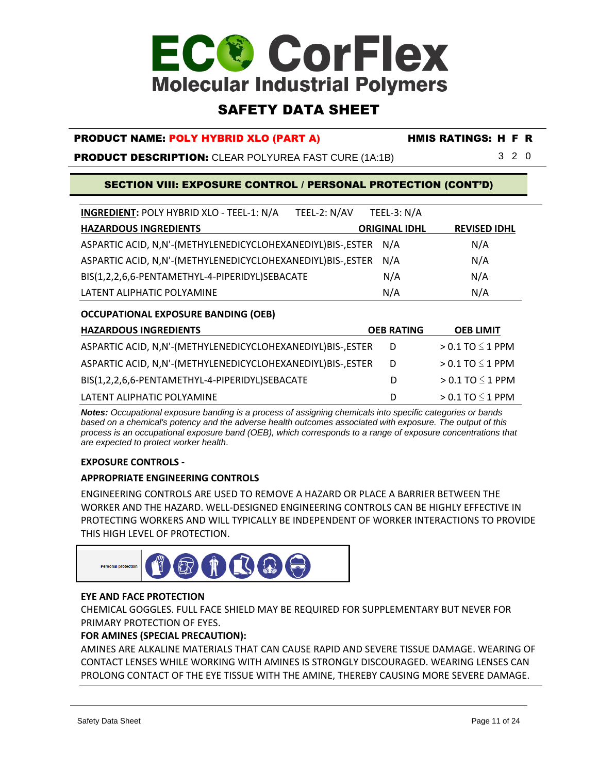## SAFETY DATA SHEET

#### PRODUCT NAME: POLY HYBRID XLO (PART A) HMIS RATINGS: H F R

**PRODUCT DESCRIPTION:** CLEAR POLYUREA FAST CURE (1A:1B) 3 2 0

#### SECTION VIII: EXPOSURE CONTROL / PERSONAL PROTECTION (CONT'D)

| INGREDIENT: POLY HYBRID XLO - TEEL-1: N/A                       | TEEL-2: N/AV | TEEL-3: $N/A$        |                     |
|-----------------------------------------------------------------|--------------|----------------------|---------------------|
| <b>HAZARDOUS INGREDIENTS</b>                                    |              | <b>ORIGINAL IDHL</b> | <b>REVISED IDHL</b> |
| ASPARTIC ACID, N,N'-(METHYLENEDICYCLOHEXANEDIYL)BIS-, ESTER N/A |              |                      | N/A                 |
| ASPARTIC ACID, N,N'-(METHYLENEDICYCLOHEXANEDIYL)BIS-, ESTER     |              | N/A                  | N/A                 |
| BIS(1,2,2,6,6-PENTAMETHYL-4-PIPERIDYL)SEBACATE                  |              | N/A                  | N/A                 |
| LATENT ALIPHATIC POLYAMINE                                      |              | N/A                  | N/A                 |

#### **OCCUPATIONAL EXPOSURE BANDING (OEB)**

| <b>HAZARDOUS INGREDIENTS</b>                                | <b>OEB RATING</b> | <b>OEB LIMIT</b>        |
|-------------------------------------------------------------|-------------------|-------------------------|
| ASPARTIC ACID, N,N'-(METHYLENEDICYCLOHEXANEDIYL)BIS-, ESTER | D                 | $>$ 0.1 TO $\leq$ 1 PPM |
| ASPARTIC ACID, N,N'-(METHYLENEDICYCLOHEXANEDIYL)BIS-, ESTER | D                 | $> 0.1$ TO $\leq$ 1 PPM |
| BIS(1,2,2,6,6-PENTAMETHYL-4-PIPERIDYL)SEBACATE              | D                 | $> 0.1$ TO $\leq$ 1 PPM |
| LATENT ALIPHATIC POLYAMINE                                  | D                 | $>$ 0.1 TO $\leq$ 1 PPM |

*Notes: Occupational exposure banding is a process of assigning chemicals into specific categories or bands based on a chemical's potency and the adverse health outcomes associated with exposure. The output of this process is an occupational exposure band (OEB), which corresponds to a range of exposure concentrations that are expected to protect worker health*.

#### **EXPOSURE CONTROLS -**

#### **APPROPRIATE ENGINEERING CONTROLS**

ENGINEERING CONTROLS ARE USED TO REMOVE A HAZARD OR PLACE A BARRIER BETWEEN THE WORKER AND THE HAZARD. WELL-DESIGNED ENGINEERING CONTROLS CAN BE HIGHLY EFFECTIVE IN PROTECTING WORKERS AND WILL TYPICALLY BE INDEPENDENT OF WORKER INTERACTIONS TO PROVIDE THIS HIGH LEVEL OF PROTECTION.



#### **EYE AND FACE PROTECTION**

CHEMICAL GOGGLES. FULL FACE SHIELD MAY BE REQUIRED FOR SUPPLEMENTARY BUT NEVER FOR PRIMARY PROTECTION OF EYES.

#### **FOR AMINES (SPECIAL PRECAUTION):**

AMINES ARE ALKALINE MATERIALS THAT CAN CAUSE RAPID AND SEVERE TISSUE DAMAGE. WEARING OF CONTACT LENSES WHILE WORKING WITH AMINES IS STRONGLY DISCOURAGED. WEARING LENSES CAN PROLONG CONTACT OF THE EYE TISSUE WITH THE AMINE, THEREBY CAUSING MORE SEVERE DAMAGE.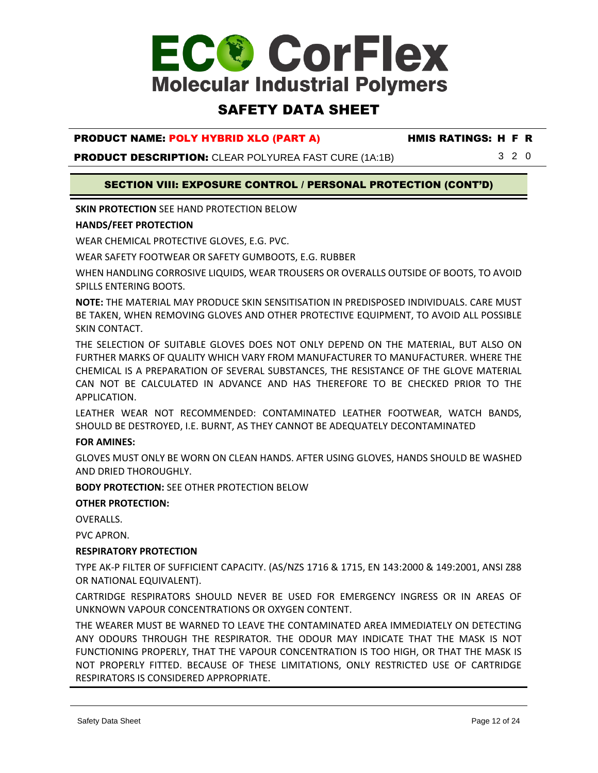### SAFETY DATA SHEET

#### PRODUCT NAME: POLY HYBRID XLO (PART A) HMIS RATINGS: H F R

**PRODUCT DESCRIPTION:** CLEAR POLYUREA FAST CURE (1A:1B) 3 2 0

SECTION VIII: EXPOSURE CONTROL / PERSONAL PROTECTION (CONT'D)

**SKIN PROTECTION** SEE HAND PROTECTION BELOW

#### **HANDS/FEET PROTECTION**

WEAR CHEMICAL PROTECTIVE GLOVES, E.G. PVC.

WEAR SAFETY FOOTWEAR OR SAFETY GUMBOOTS, E.G. RUBBER

WHEN HANDLING CORROSIVE LIQUIDS, WEAR TROUSERS OR OVERALLS OUTSIDE OF BOOTS, TO AVOID SPILLS ENTERING BOOTS.

**NOTE:** THE MATERIAL MAY PRODUCE SKIN SENSITISATION IN PREDISPOSED INDIVIDUALS. CARE MUST BE TAKEN, WHEN REMOVING GLOVES AND OTHER PROTECTIVE EQUIPMENT, TO AVOID ALL POSSIBLE SKIN CONTACT.

THE SELECTION OF SUITABLE GLOVES DOES NOT ONLY DEPEND ON THE MATERIAL, BUT ALSO ON FURTHER MARKS OF QUALITY WHICH VARY FROM MANUFACTURER TO MANUFACTURER. WHERE THE CHEMICAL IS A PREPARATION OF SEVERAL SUBSTANCES, THE RESISTANCE OF THE GLOVE MATERIAL CAN NOT BE CALCULATED IN ADVANCE AND HAS THEREFORE TO BE CHECKED PRIOR TO THE APPLICATION.

LEATHER WEAR NOT RECOMMENDED: CONTAMINATED LEATHER FOOTWEAR, WATCH BANDS, SHOULD BE DESTROYED, I.E. BURNT, AS THEY CANNOT BE ADEQUATELY DECONTAMINATED

#### **FOR AMINES:**

GLOVES MUST ONLY BE WORN ON CLEAN HANDS. AFTER USING GLOVES, HANDS SHOULD BE WASHED AND DRIED THOROUGHLY.

**BODY PROTECTION:** SEE OTHER PROTECTION BELOW

#### **OTHER PROTECTION:**

OVERALLS.

PVC APRON.

#### **RESPIRATORY PROTECTION**

TYPE AK-P FILTER OF SUFFICIENT CAPACITY. (AS/NZS 1716 & 1715, EN 143:2000 & 149:2001, ANSI Z88 OR NATIONAL EQUIVALENT).

CARTRIDGE RESPIRATORS SHOULD NEVER BE USED FOR EMERGENCY INGRESS OR IN AREAS OF UNKNOWN VAPOUR CONCENTRATIONS OR OXYGEN CONTENT.

THE WEARER MUST BE WARNED TO LEAVE THE CONTAMINATED AREA IMMEDIATELY ON DETECTING ANY ODOURS THROUGH THE RESPIRATOR. THE ODOUR MAY INDICATE THAT THE MASK IS NOT FUNCTIONING PROPERLY, THAT THE VAPOUR CONCENTRATION IS TOO HIGH, OR THAT THE MASK IS NOT PROPERLY FITTED. BECAUSE OF THESE LIMITATIONS, ONLY RESTRICTED USE OF CARTRIDGE RESPIRATORS IS CONSIDERED APPROPRIATE.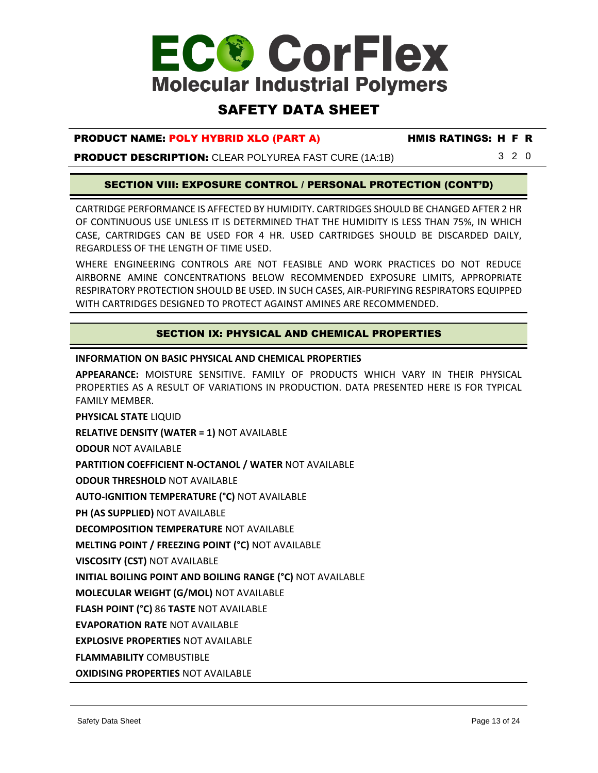

### SAFETY DATA SHEET

#### PRODUCT NAME: POLY HYBRID XLO (PART A) HMIS RATINGS: H F R

**PRODUCT DESCRIPTION:** CLEAR POLYUREA FAST CURE (1A:1B) 3 2 0

#### SECTION VIII: EXPOSURE CONTROL / PERSONAL PROTECTION (CONT'D)

CARTRIDGE PERFORMANCE IS AFFECTED BY HUMIDITY. CARTRIDGES SHOULD BE CHANGED AFTER 2 HR OF CONTINUOUS USE UNLESS IT IS DETERMINED THAT THE HUMIDITY IS LESS THAN 75%, IN WHICH CASE, CARTRIDGES CAN BE USED FOR 4 HR. USED CARTRIDGES SHOULD BE DISCARDED DAILY, REGARDLESS OF THE LENGTH OF TIME USED.

WHERE ENGINEERING CONTROLS ARE NOT FEASIBLE AND WORK PRACTICES DO NOT REDUCE AIRBORNE AMINE CONCENTRATIONS BELOW RECOMMENDED EXPOSURE LIMITS, APPROPRIATE RESPIRATORY PROTECTION SHOULD BE USED. IN SUCH CASES, AIR-PURIFYING RESPIRATORS EQUIPPED WITH CARTRIDGES DESIGNED TO PROTECT AGAINST AMINES ARE RECOMMENDED.

#### SECTION IX: PHYSICAL AND CHEMICAL PROPERTIES

**INFORMATION ON BASIC PHYSICAL AND CHEMICAL PROPERTIES**

**APPEARANCE:** MOISTURE SENSITIVE. FAMILY OF PRODUCTS WHICH VARY IN THEIR PHYSICAL PROPERTIES AS A RESULT OF VARIATIONS IN PRODUCTION. DATA PRESENTED HERE IS FOR TYPICAL FAMILY MEMBER.

**PHYSICAL STATE** LIQUID

**RELATIVE DENSITY (WATER = 1)** NOT AVAILABLE

**ODOUR** NOT AVAILABLE

**PARTITION COEFFICIENT N-OCTANOL / WATER** NOT AVAILABLE

**ODOUR THRESHOLD** NOT AVAILABLE

**AUTO-IGNITION TEMPERATURE (°C)** NOT AVAILABLE

**PH (AS SUPPLIED)** NOT AVAILABLE

**DECOMPOSITION TEMPERATURE** NOT AVAILABLE

**MELTING POINT / FREEZING POINT (°C)** NOT AVAILABLE

**VISCOSITY (CST)** NOT AVAILABLE

**INITIAL BOILING POINT AND BOILING RANGE (°C)** NOT AVAILABLE

**MOLECULAR WEIGHT (G/MOL)** NOT AVAILABLE

**FLASH POINT (°C)** 86 **TASTE** NOT AVAILABLE

**EVAPORATION RATE** NOT AVAILABLE

**EXPLOSIVE PROPERTIES** NOT AVAILABLE

**FLAMMABILITY** COMBUSTIBLE

**OXIDISING PROPERTIES** NOT AVAILABLE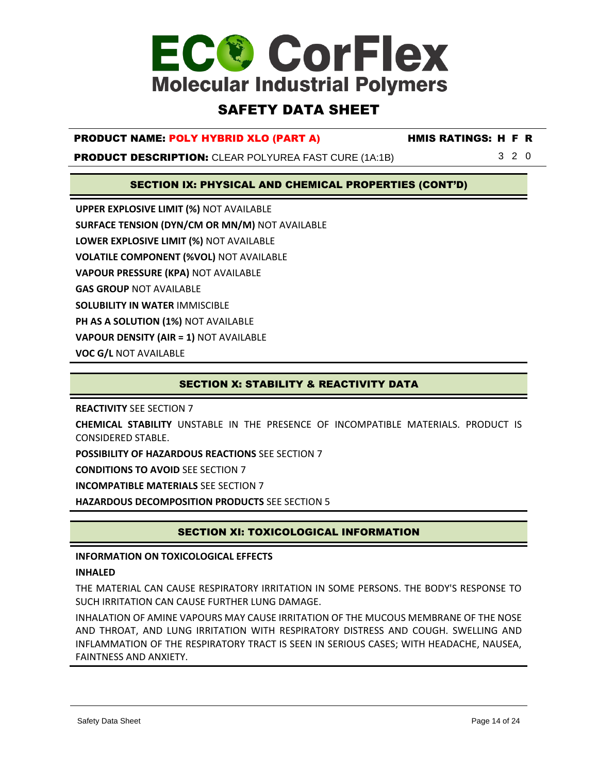### SAFETY DATA SHEET

#### PRODUCT NAME: POLY HYBRID XLO (PART A) HMIS RATINGS: H F R

**PRODUCT DESCRIPTION:** CLEAR POLYUREA FAST CURE (1A:1B) 3 2 0

#### SECTION IX: PHYSICAL AND CHEMICAL PROPERTIES (CONT'D)

**UPPER EXPLOSIVE LIMIT (%)** NOT AVAILABLE **SURFACE TENSION (DYN/CM OR MN/M)** NOT AVAILABLE **LOWER EXPLOSIVE LIMIT (%)** NOT AVAILABLE **VOLATILE COMPONENT (%VOL)** NOT AVAILABLE **VAPOUR PRESSURE (KPA)** NOT AVAILABLE **GAS GROUP** NOT AVAILABLE **SOLUBILITY IN WATER** IMMISCIBLE **PH AS A SOLUTION (1%)** NOT AVAILABLE **VAPOUR DENSITY (AIR = 1)** NOT AVAILABLE **VOC G/L** NOT AVAILABLE

#### SECTION X: STABILITY & REACTIVITY DATA

**REACTIVITY** SEE SECTION 7

**CHEMICAL STABILITY** UNSTABLE IN THE PRESENCE OF INCOMPATIBLE MATERIALS. PRODUCT IS CONSIDERED STABLE.

**POSSIBILITY OF HAZARDOUS REACTIONS** SEE SECTION 7

**CONDITIONS TO AVOID** SEE SECTION 7

**INCOMPATIBLE MATERIALS** SEE SECTION 7

**HAZARDOUS DECOMPOSITION PRODUCTS** SEE SECTION 5

#### SECTION XI: TOXICOLOGICAL INFORMATION

#### **INFORMATION ON TOXICOLOGICAL EFFECTS**

#### **INHALED**

THE MATERIAL CAN CAUSE RESPIRATORY IRRITATION IN SOME PERSONS. THE BODY'S RESPONSE TO SUCH IRRITATION CAN CAUSE FURTHER LUNG DAMAGE.

INHALATION OF AMINE VAPOURS MAY CAUSE IRRITATION OF THE MUCOUS MEMBRANE OF THE NOSE AND THROAT, AND LUNG IRRITATION WITH RESPIRATORY DISTRESS AND COUGH. SWELLING AND INFLAMMATION OF THE RESPIRATORY TRACT IS SEEN IN SERIOUS CASES; WITH HEADACHE, NAUSEA, FAINTNESS AND ANXIETY.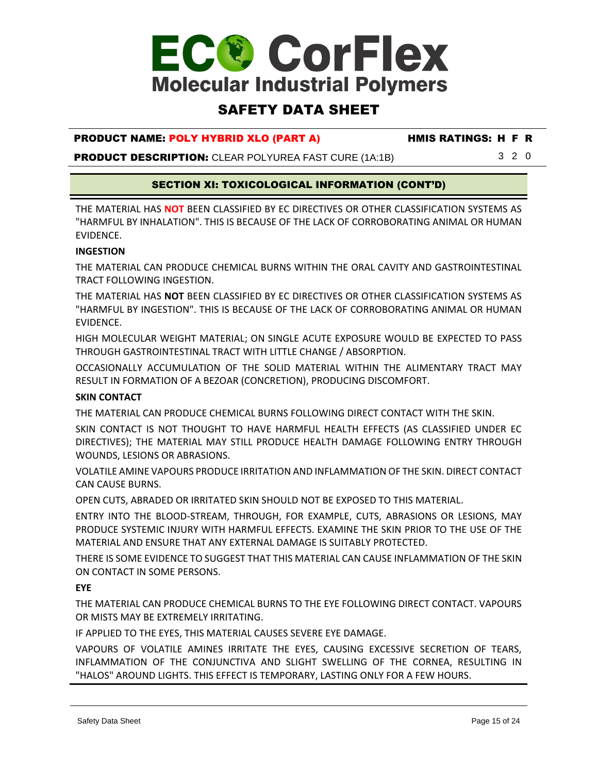### SAFETY DATA SHEET

#### PRODUCT NAME: POLY HYBRID XLO (PART A) HMIS RATINGS: H F R

**PRODUCT DESCRIPTION:** CLEAR POLYUREA FAST CURE (1A:1B) 3 2 0

#### SECTION XI: TOXICOLOGICAL INFORMATION (CONT'D)

THE MATERIAL HAS **NOT** BEEN CLASSIFIED BY EC DIRECTIVES OR OTHER CLASSIFICATION SYSTEMS AS "HARMFUL BY INHALATION". THIS IS BECAUSE OF THE LACK OF CORROBORATING ANIMAL OR HUMAN EVIDENCE.

#### **INGESTION**

THE MATERIAL CAN PRODUCE CHEMICAL BURNS WITHIN THE ORAL CAVITY AND GASTROINTESTINAL TRACT FOLLOWING INGESTION.

THE MATERIAL HAS **NOT** BEEN CLASSIFIED BY EC DIRECTIVES OR OTHER CLASSIFICATION SYSTEMS AS "HARMFUL BY INGESTION". THIS IS BECAUSE OF THE LACK OF CORROBORATING ANIMAL OR HUMAN EVIDENCE.

HIGH MOLECULAR WEIGHT MATERIAL; ON SINGLE ACUTE EXPOSURE WOULD BE EXPECTED TO PASS THROUGH GASTROINTESTINAL TRACT WITH LITTLE CHANGE / ABSORPTION.

OCCASIONALLY ACCUMULATION OF THE SOLID MATERIAL WITHIN THE ALIMENTARY TRACT MAY RESULT IN FORMATION OF A BEZOAR (CONCRETION), PRODUCING DISCOMFORT.

#### **SKIN CONTACT**

THE MATERIAL CAN PRODUCE CHEMICAL BURNS FOLLOWING DIRECT CONTACT WITH THE SKIN.

SKIN CONTACT IS NOT THOUGHT TO HAVE HARMFUL HEALTH EFFECTS (AS CLASSIFIED UNDER EC DIRECTIVES); THE MATERIAL MAY STILL PRODUCE HEALTH DAMAGE FOLLOWING ENTRY THROUGH WOUNDS, LESIONS OR ABRASIONS.

VOLATILE AMINE VAPOURS PRODUCE IRRITATION AND INFLAMMATION OF THE SKIN. DIRECT CONTACT CAN CAUSE BURNS.

OPEN CUTS, ABRADED OR IRRITATED SKIN SHOULD NOT BE EXPOSED TO THIS MATERIAL.

ENTRY INTO THE BLOOD-STREAM, THROUGH, FOR EXAMPLE, CUTS, ABRASIONS OR LESIONS, MAY PRODUCE SYSTEMIC INJURY WITH HARMFUL EFFECTS. EXAMINE THE SKIN PRIOR TO THE USE OF THE MATERIAL AND ENSURE THAT ANY EXTERNAL DAMAGE IS SUITABLY PROTECTED.

THERE IS SOME EVIDENCE TO SUGGEST THAT THIS MATERIAL CAN CAUSE INFLAMMATION OF THE SKIN ON CONTACT IN SOME PERSONS.

#### **EYE**

THE MATERIAL CAN PRODUCE CHEMICAL BURNS TO THE EYE FOLLOWING DIRECT CONTACT. VAPOURS OR MISTS MAY BE EXTREMELY IRRITATING.

IF APPLIED TO THE EYES, THIS MATERIAL CAUSES SEVERE EYE DAMAGE.

VAPOURS OF VOLATILE AMINES IRRITATE THE EYES, CAUSING EXCESSIVE SECRETION OF TEARS, INFLAMMATION OF THE CONJUNCTIVA AND SLIGHT SWELLING OF THE CORNEA, RESULTING IN "HALOS" AROUND LIGHTS. THIS EFFECT IS TEMPORARY, LASTING ONLY FOR A FEW HOURS.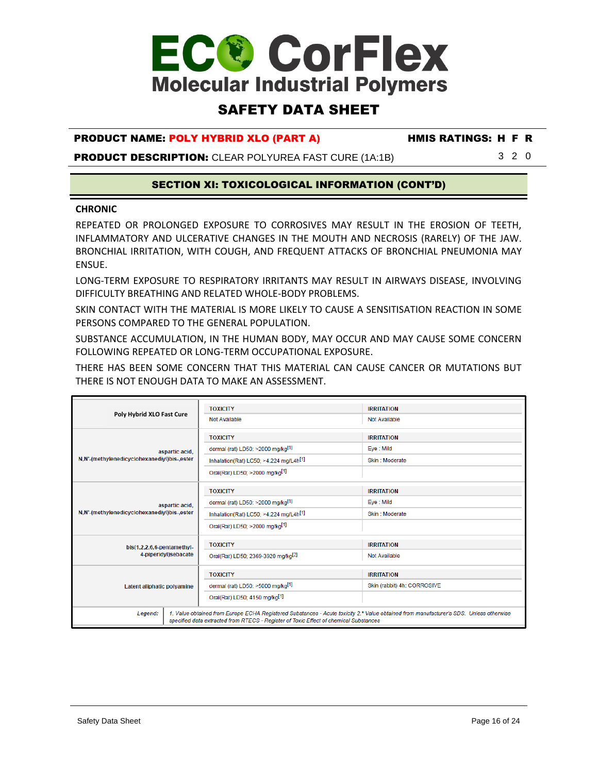### SAFETY DATA SHEET

#### PRODUCT NAME: POLY HYBRID XLO (PART A) HMIS RATINGS: H F R

**PRODUCT DESCRIPTION:** CLEAR POLYUREA FAST CURE (1A:1B) 3 2 0

#### SECTION XI: TOXICOLOGICAL INFORMATION (CONT'D)

#### **CHRONIC**

REPEATED OR PROLONGED EXPOSURE TO CORROSIVES MAY RESULT IN THE EROSION OF TEETH, INFLAMMATORY AND ULCERATIVE CHANGES IN THE MOUTH AND NECROSIS (RARELY) OF THE JAW. BRONCHIAL IRRITATION, WITH COUGH, AND FREQUENT ATTACKS OF BRONCHIAL PNEUMONIA MAY ENSUE.

LONG-TERM EXPOSURE TO RESPIRATORY IRRITANTS MAY RESULT IN AIRWAYS DISEASE, INVOLVING DIFFICULTY BREATHING AND RELATED WHOLE-BODY PROBLEMS.

SKIN CONTACT WITH THE MATERIAL IS MORE LIKELY TO CAUSE A SENSITISATION REACTION IN SOME PERSONS COMPARED TO THE GENERAL POPULATION.

SUBSTANCE ACCUMULATION, IN THE HUMAN BODY, MAY OCCUR AND MAY CAUSE SOME CONCERN FOLLOWING REPEATED OR LONG-TERM OCCUPATIONAL EXPOSURE.

THERE HAS BEEN SOME CONCERN THAT THIS MATERIAL CAN CAUSE CANCER OR MUTATIONS BUT THERE IS NOT ENOUGH DATA TO MAKE AN ASSESSMENT.

| Poly Hybrid XLO Fast Cure                   | <b>TOXICITY</b>                                                                                                                                                                                                                 | <b>IRRITATION</b>           |  |
|---------------------------------------------|---------------------------------------------------------------------------------------------------------------------------------------------------------------------------------------------------------------------------------|-----------------------------|--|
|                                             | <b>Not Available</b>                                                                                                                                                                                                            | Not Available               |  |
|                                             | <b>TOXICITY</b>                                                                                                                                                                                                                 | <b>IRRITATION</b>           |  |
| aspartic acid,                              | dermal (rat) LD50: >2000 mg/kg[1]                                                                                                                                                                                               | Eye: Mild                   |  |
| N,N'-(methylenedicyclohexanediyl)bis-,ester | Inhalation(Rat) LC50; $>4.224$ mg/L4h <sup>[1]</sup>                                                                                                                                                                            | Skin: Moderate              |  |
|                                             | Oral(Rat) LD50; >2000 mg/kg[1]                                                                                                                                                                                                  |                             |  |
|                                             | <b>TOXICITY</b>                                                                                                                                                                                                                 | <b>IRRITATION</b>           |  |
| aspartic acid,                              | dermal (rat) LD50: >2000 mg/kg[1]                                                                                                                                                                                               | Eye: Mild                   |  |
| N,N'-(methylenedicyclohexanediyl)bis-,ester | Inhalation(Rat) LC50; $>4.224$ mg/L4h <sup>[1]</sup>                                                                                                                                                                            | Skin: Moderate              |  |
|                                             | Oral(Rat) LD50; >2000 mg/kg[1]                                                                                                                                                                                                  |                             |  |
| $bis(1,2,2,6,6-pentament)$                  | <b>TOXICITY</b>                                                                                                                                                                                                                 | <b>IRRITATION</b>           |  |
| 4-piperidyl)sebacate                        | Oral(Rat) LD50: 2369-3920 mg/kg <sup>[2]</sup>                                                                                                                                                                                  | Not Available               |  |
|                                             | <b>TOXICITY</b>                                                                                                                                                                                                                 | <b>IRRITATION</b>           |  |
| Latent aliphatic polyamine                  | dermal (rat) LD50: >5000 mg/kg[1]                                                                                                                                                                                               | Skin (rabbit) 4h: CORROSIVE |  |
|                                             | Oral(Rat) LD50; 4150 mg/kg[1]                                                                                                                                                                                                   |                             |  |
| Legend:                                     | 1. Value obtained from Europe ECHA Registered Substances - Acute toxicity 2.* Value obtained from manufacturer's SDS. Unless otherwise<br>specified data extracted from RTECS - Register of Toxic Effect of chemical Substances |                             |  |
|                                             |                                                                                                                                                                                                                                 |                             |  |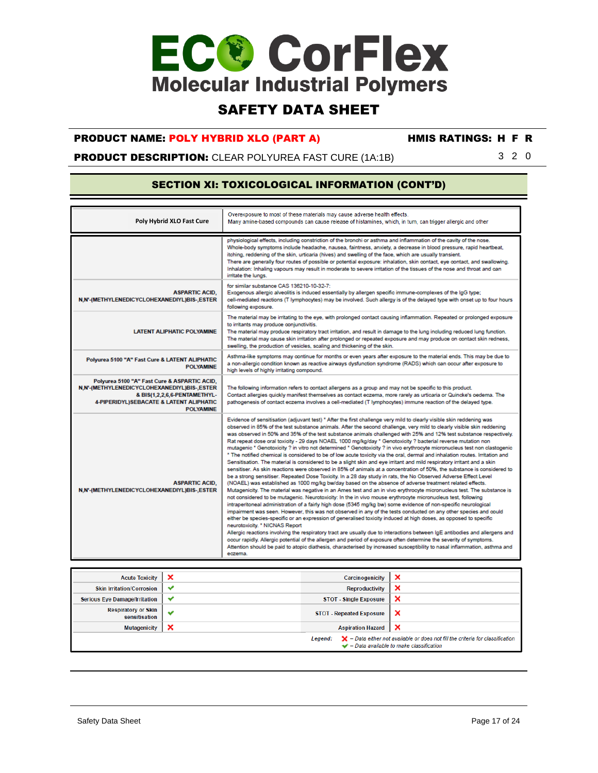## SAFETY DATA SHEET

#### PRODUCT NAME: POLY HYBRID XLO (PART A) HMIS RATINGS: H F R

**PRODUCT DESCRIPTION:** CLEAR POLYUREA FAST CURE (1A:1B) 3 2 0

#### SECTION XI: TOXICOLOGICAL INFORMATION (CONT'D)

| Poly Hybrid XLO Fast Cure                                                                                                                                                                   | Overexposure to most of these materials may cause adverse health effects.<br>Many amine-based compounds can cause release of histamines, which, in turn, can trigger allergic and other                                                                                                                                                                                                                                                                                                                                                                                                                                                                                                                                                                                                                                                                                                                                                                                                                                                                                                                                                                                                                                                                                                                                                                                                                                                                                                                                                                                                                                                                                                                                                                                                                                                                                                                                                                                                                                                                                                                                                                                                                                                                                     |
|---------------------------------------------------------------------------------------------------------------------------------------------------------------------------------------------|-----------------------------------------------------------------------------------------------------------------------------------------------------------------------------------------------------------------------------------------------------------------------------------------------------------------------------------------------------------------------------------------------------------------------------------------------------------------------------------------------------------------------------------------------------------------------------------------------------------------------------------------------------------------------------------------------------------------------------------------------------------------------------------------------------------------------------------------------------------------------------------------------------------------------------------------------------------------------------------------------------------------------------------------------------------------------------------------------------------------------------------------------------------------------------------------------------------------------------------------------------------------------------------------------------------------------------------------------------------------------------------------------------------------------------------------------------------------------------------------------------------------------------------------------------------------------------------------------------------------------------------------------------------------------------------------------------------------------------------------------------------------------------------------------------------------------------------------------------------------------------------------------------------------------------------------------------------------------------------------------------------------------------------------------------------------------------------------------------------------------------------------------------------------------------------------------------------------------------------------------------------------------------|
|                                                                                                                                                                                             | physiological effects, including constriction of the bronchi or asthma and inflammation of the cavity of the nose.<br>Whole-body symptoms include headache, nausea, faintness, anxiety, a decrease in blood pressure, rapid heartbeat,<br>itching, reddening of the skin, urticaria (hives) and swelling of the face, which are usually transient.<br>There are generally four routes of possible or potential exposure: inhalation, skin contact, eye contact, and swallowing.<br>Inhalation: Inhaling vapours may result in moderate to severe irritation of the tissues of the nose and throat and can<br>irritate the lungs.                                                                                                                                                                                                                                                                                                                                                                                                                                                                                                                                                                                                                                                                                                                                                                                                                                                                                                                                                                                                                                                                                                                                                                                                                                                                                                                                                                                                                                                                                                                                                                                                                                            |
| <b>ASPARTIC ACID.</b><br>N,N'-(METHYLENEDICYCLOHEXANEDIYL)BIS-,ESTER                                                                                                                        | for similar substance CAS 136210-10-32-7:<br>Exogenous allergic alveolitis is induced essentially by allergen specific immune-complexes of the IgG type;<br>cell-mediated reactions (T lymphocytes) may be involved. Such allergy is of the delayed type with onset up to four hours<br>following exposure.                                                                                                                                                                                                                                                                                                                                                                                                                                                                                                                                                                                                                                                                                                                                                                                                                                                                                                                                                                                                                                                                                                                                                                                                                                                                                                                                                                                                                                                                                                                                                                                                                                                                                                                                                                                                                                                                                                                                                                 |
| <b>LATENT ALIPHATIC POLYAMINE</b>                                                                                                                                                           | The material may be irritating to the eye, with prolonged contact causing inflammation. Repeated or prolonged exposure<br>to irritants may produce conjunctivitis.<br>The material may produce respiratory tract irritation, and result in damage to the lung including reduced lung function.<br>The material may cause skin irritation after prolonged or repeated exposure and may produce on contact skin redness,<br>swelling, the production of vesicles, scaling and thickening of the skin.                                                                                                                                                                                                                                                                                                                                                                                                                                                                                                                                                                                                                                                                                                                                                                                                                                                                                                                                                                                                                                                                                                                                                                                                                                                                                                                                                                                                                                                                                                                                                                                                                                                                                                                                                                         |
| Polyurea 5100 "A" Fast Cure & LATENT ALIPHATIC<br><b>POLYAMINE</b>                                                                                                                          | Asthma-like symptoms may continue for months or even years after exposure to the material ends. This may be due to<br>a non-allergic condition known as reactive airways dysfunction syndrome (RADS) which can occur after exposure to<br>high levels of highly irritating compound.                                                                                                                                                                                                                                                                                                                                                                                                                                                                                                                                                                                                                                                                                                                                                                                                                                                                                                                                                                                                                                                                                                                                                                                                                                                                                                                                                                                                                                                                                                                                                                                                                                                                                                                                                                                                                                                                                                                                                                                        |
| Polyurea 5100 "A" Fast Cure & ASPARTIC ACID,<br>N,N'-(METHYLENEDICYCLOHEXANEDIYL)BIS-,ESTER<br>& BIS(1,2,2,6,6-PENTAMETHYL-<br>4-PIPERIDYL) SEBACATE & LATENT ALIPHATIC<br><b>POLYAMINE</b> | The following information refers to contact allergens as a group and may not be specific to this product.<br>Contact allergies quickly manifest themselves as contact eczema, more rarely as urticaria or Quincke's oedema. The<br>pathogenesis of contact eczema involves a cell-mediated (T lymphocytes) immune reaction of the delayed type.                                                                                                                                                                                                                                                                                                                                                                                                                                                                                                                                                                                                                                                                                                                                                                                                                                                                                                                                                                                                                                                                                                                                                                                                                                                                                                                                                                                                                                                                                                                                                                                                                                                                                                                                                                                                                                                                                                                             |
| <b>ASPARTIC ACID.</b><br>N,N'-(METHYLENEDICYCLOHEXANEDIYL)BIS-,ESTER                                                                                                                        | Evidence of sensitisation (adjuvant test) * After the first challenge very mild to clearly visible skin reddening was<br>observed in 85% of the test substance animals. After the second challenge, very mild to clearly visible skin reddening<br>was observed in 50% and 35% of the test substance animals challenged with 25% and 12% test substance respectively.<br>Rat repeat dose oral toxicity - 29 days NOAEL 1000 mg/kg/day * Genotoxicity ? bacterial reverse mutation non<br>mutagenic * Genotoxicity ? in vitro not determined * Genotoxicity ? in vivo erythrocyte micronucleus test non clastogenic<br>* The notified chemical is considered to be of low acute toxicity via the oral, dermal and inhalation routes. Irritation and<br>Sensitisation. The material is considered to be a slight skin and eye irritant and mild respiratory irritant and a skin<br>sensitiser. As skin reactions were observed in 85% of animals at a concentration of 50%, the substance is considered to<br>be a strong sensitiser. Repeated Dose Toxicity. In a 28 day study in rats, the No Observed Adverse Effect Level<br>(NOAEL) was established as 1000 mg/kg bw/day based on the absence of adverse treatment related effects.<br>Mutagenicity. The material was negative in an Ames test and an in vivo erythrocyte micronucleus test. The substance is<br>not considered to be mutagenic. Neurotoxicity: In the in vivo mouse erythrocyte micronucleus test, following<br>intraperitoneal administration of a fairly high dose (5345 mg/kg bw) some evidence of non-specific neurological<br>impairment was seen. However, this was not observed in any of the tests conducted on any other species and could<br>either be species-specific or an expression of generalised toxicity induced at high doses, as opposed to specific<br>neurotoxicity. * NICNAS Report<br>Allergic reactions involving the respiratory tract are usually due to interactions between IgE antibodies and allergens and<br>occur rapidly. Allergic potential of the allergen and period of exposure often determine the severity of symptoms.<br>Attention should be paid to atopic diathesis, characterised by increased susceptibility to nasal inflammation, asthma and<br>eczema. |

| <b>Acute Toxicity</b>                       | ×            | Carcinogenicity                 | $\boldsymbol{\mathsf{x}}$                                                                                                                                   |
|---------------------------------------------|--------------|---------------------------------|-------------------------------------------------------------------------------------------------------------------------------------------------------------|
| <b>Skin Irritation/Corrosion</b>            | $\checkmark$ | <b>Reproductivity</b>           | $\boldsymbol{\mathsf{x}}$                                                                                                                                   |
| <b>Serious Eye Damage/Irritation</b>        | $\checkmark$ | <b>STOT - Single Exposure</b>   | $\boldsymbol{\mathsf{x}}$                                                                                                                                   |
| <b>Respiratory or Skin</b><br>sensitisation | $\checkmark$ | <b>STOT - Repeated Exposure</b> | $\boldsymbol{\mathsf{x}}$                                                                                                                                   |
| <b>Mutagenicity</b>                         | ×            | <b>Aspiration Hazard</b>        | $\boldsymbol{\mathsf{x}}$                                                                                                                                   |
|                                             |              | Legend:                         | $\blacktriangleright$ - Data either not available or does not fill the criteria for classification<br>$\rightarrow$ - Data available to make classification |
|                                             |              |                                 |                                                                                                                                                             |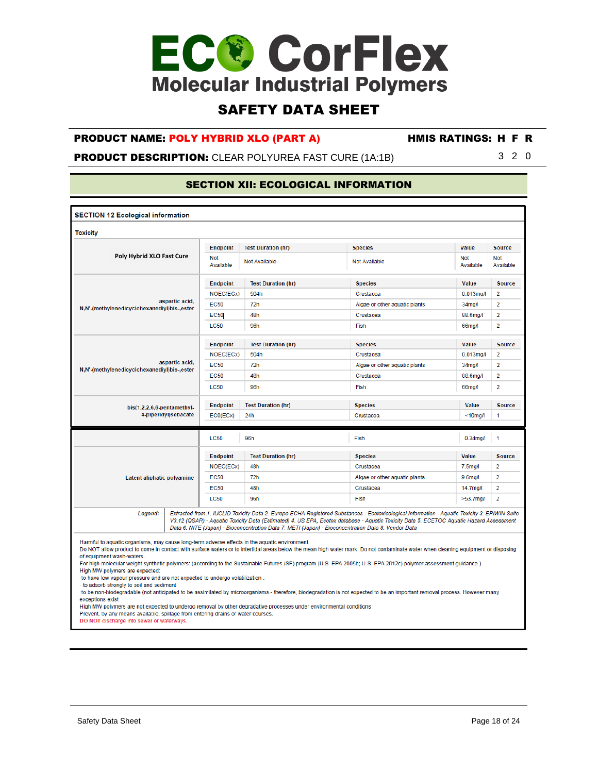### SAFETY DATA SHEET

#### PRODUCT NAME: POLY HYBRID XLO (PART A) HMIS RATINGS: H F R

#### **PRODUCT DESCRIPTION:** CLEAR POLYUREA FAST CURE (1A:1B) 3 2 0

#### SECTION XII: ECOLOGICAL INFORMATION

| <b>SECTION 12 Ecological information</b>                                                                                                                                                                                                                                                                   |                |                                                                                  |                                                                                                                                                                                                                                                                                                                                                                                                                                                                                                                                                                                                                                                        |                               |                      |                         |
|------------------------------------------------------------------------------------------------------------------------------------------------------------------------------------------------------------------------------------------------------------------------------------------------------------|----------------|----------------------------------------------------------------------------------|--------------------------------------------------------------------------------------------------------------------------------------------------------------------------------------------------------------------------------------------------------------------------------------------------------------------------------------------------------------------------------------------------------------------------------------------------------------------------------------------------------------------------------------------------------------------------------------------------------------------------------------------------------|-------------------------------|----------------------|-------------------------|
| <b>Toxicity</b>                                                                                                                                                                                                                                                                                            |                |                                                                                  |                                                                                                                                                                                                                                                                                                                                                                                                                                                                                                                                                                                                                                                        |                               |                      |                         |
|                                                                                                                                                                                                                                                                                                            |                | <b>Endpoint</b>                                                                  | <b>Test Duration (hr)</b>                                                                                                                                                                                                                                                                                                                                                                                                                                                                                                                                                                                                                              | <b>Species</b>                | Value                | <b>Source</b>           |
| Poly Hybrid XLO Fast Cure                                                                                                                                                                                                                                                                                  |                | <b>Not</b><br>Available                                                          | <b>Not Available</b>                                                                                                                                                                                                                                                                                                                                                                                                                                                                                                                                                                                                                                   | Not Available                 | Not<br>Available     | <b>Not</b><br>Available |
|                                                                                                                                                                                                                                                                                                            |                | Endpoint                                                                         | <b>Test Duration (hr)</b>                                                                                                                                                                                                                                                                                                                                                                                                                                                                                                                                                                                                                              | <b>Species</b>                | Value                | <b>Source</b>           |
|                                                                                                                                                                                                                                                                                                            |                | NOEC(ECx)                                                                        | 504h                                                                                                                                                                                                                                                                                                                                                                                                                                                                                                                                                                                                                                                   | Crustacea                     | $0.013$ mg/l         | 2                       |
| N,N'-(methylenedicyclohexanediyl)bis-,ester                                                                                                                                                                                                                                                                | aspartic acid, | <b>EC50</b>                                                                      | 72h                                                                                                                                                                                                                                                                                                                                                                                                                                                                                                                                                                                                                                                    | Algae or other aquatic plants | 34 <sub>ma</sub>     | $\overline{2}$          |
|                                                                                                                                                                                                                                                                                                            |                | <b>EC50</b>                                                                      | 48h                                                                                                                                                                                                                                                                                                                                                                                                                                                                                                                                                                                                                                                    | Crustacea                     | 88.6mg/l             | $\overline{2}$          |
|                                                                                                                                                                                                                                                                                                            |                | <b>LC50</b>                                                                      | 96h                                                                                                                                                                                                                                                                                                                                                                                                                                                                                                                                                                                                                                                    | Fish                          | 66mg/l               | $\overline{2}$          |
|                                                                                                                                                                                                                                                                                                            |                | <b>Endpoint</b>                                                                  | <b>Test Duration (hr)</b>                                                                                                                                                                                                                                                                                                                                                                                                                                                                                                                                                                                                                              | <b>Species</b>                | Value                | <b>Source</b>           |
|                                                                                                                                                                                                                                                                                                            |                | NOEC(ECx)                                                                        | 504h                                                                                                                                                                                                                                                                                                                                                                                                                                                                                                                                                                                                                                                   | Crustacea                     | $0.013$ mg/l         | 2                       |
|                                                                                                                                                                                                                                                                                                            | aspartic acid, | <b>EC50</b>                                                                      | 72h                                                                                                                                                                                                                                                                                                                                                                                                                                                                                                                                                                                                                                                    | Algae or other aquatic plants | 34 <sub>mg</sub>     | $\overline{2}$          |
| N,N'-(methylenedicyclohexanediyl)bis-,ester                                                                                                                                                                                                                                                                |                | <b>EC50</b>                                                                      | 48h                                                                                                                                                                                                                                                                                                                                                                                                                                                                                                                                                                                                                                                    | Crustacea                     | 88.6mg/l             | 2                       |
|                                                                                                                                                                                                                                                                                                            |                | <b>LC50</b>                                                                      | 96h                                                                                                                                                                                                                                                                                                                                                                                                                                                                                                                                                                                                                                                    | Fish                          | 66mg/l               | $\overline{2}$          |
|                                                                                                                                                                                                                                                                                                            |                | <b>Endpoint</b>                                                                  | <b>Test Duration (hr)</b>                                                                                                                                                                                                                                                                                                                                                                                                                                                                                                                                                                                                                              | <b>Species</b>                | Value                | <b>Source</b>           |
| $bis(1,2,2,6,6-pentament)$<br>4-piperidyl)sebacate                                                                                                                                                                                                                                                         |                | EC0(ECx)                                                                         | 24h                                                                                                                                                                                                                                                                                                                                                                                                                                                                                                                                                                                                                                                    | Crustacea                     | $<$ 10 $ma/$         | 1                       |
|                                                                                                                                                                                                                                                                                                            |                | <b>LC50</b>                                                                      | 96h                                                                                                                                                                                                                                                                                                                                                                                                                                                                                                                                                                                                                                                    | Fish                          | $0.34$ mg/l          | $\mathbf 1$             |
|                                                                                                                                                                                                                                                                                                            |                |                                                                                  |                                                                                                                                                                                                                                                                                                                                                                                                                                                                                                                                                                                                                                                        |                               |                      |                         |
|                                                                                                                                                                                                                                                                                                            |                | <b>Endpoint</b>                                                                  | <b>Test Duration (hr)</b>                                                                                                                                                                                                                                                                                                                                                                                                                                                                                                                                                                                                                              | <b>Species</b>                | <b>Value</b>         | <b>Source</b>           |
|                                                                                                                                                                                                                                                                                                            |                | NOEC(ECx)                                                                        | 48h                                                                                                                                                                                                                                                                                                                                                                                                                                                                                                                                                                                                                                                    | Crustacea                     | 7.5 <sub>mq</sub> /l | $\overline{2}$          |
| Latent aliphatic polyamine                                                                                                                                                                                                                                                                                 |                | <b>EC50</b>                                                                      | 72h                                                                                                                                                                                                                                                                                                                                                                                                                                                                                                                                                                                                                                                    | Algae or other aquatic plants | 9.6mg/l              | $\overline{2}$          |
|                                                                                                                                                                                                                                                                                                            |                | <b>EC50</b>                                                                      | 48h                                                                                                                                                                                                                                                                                                                                                                                                                                                                                                                                                                                                                                                    | Crustacea                     | 14.7mg/l             | $\overline{2}$          |
|                                                                                                                                                                                                                                                                                                            |                | <b>LC50</b>                                                                      | 96h                                                                                                                                                                                                                                                                                                                                                                                                                                                                                                                                                                                                                                                    | Fish                          | $>53.7$ mg/l         | $\overline{2}$          |
| Legend:                                                                                                                                                                                                                                                                                                    |                |                                                                                  | Extracted from 1. IUCLID Toxicity Data 2. Europe ECHA Registered Substances - Ecotoxicological Information - Aquatic Toxicity 3. EPIWIN Suite<br>V3.12 (QSAR) - Aquatic Toxicity Data (Estimated) 4. US EPA, Ecotox database - Aquatic Toxicity Data 5. ECETOC Aquatic Hazard Assessment<br>Data 6. NITE (Japan) - Bioconcentration Data 7. METI (Japan) - Bioconcentration Data 8. Vendor Data                                                                                                                                                                                                                                                        |                               |                      |                         |
| Harmful to aquatic organisms, may cause long-term adverse effects in the aquatic environment.<br>of equipment wash-waters.<br>High MW polymers are expected:<br>to have low vapour pressure and are not expected to undergo volatilization.<br>to adsorb strongly to soil and sediment<br>exceptions exist |                | Prevent, by any means available, spillage from entering drains or water courses. | Do NOT allow product to come in contact with surface waters or to intertidal areas below the mean high water mark. Do not contaminate water when cleaning equipment or disposing<br>For high molecular weight synthetic polymers: (according to the Sustainable Futures (SF) program (U.S. EPA 2005b; U.S. EPA 2012c) polymer assessment guidance.)<br>to be non-biodegradable (not anticipated to be assimilated by microorganisms.- therefore, biodegradation is not expected to be an important removal process. However many<br>High MW polymers are not expected to undergo removal by other degradative processes under environmental conditions |                               |                      |                         |

DO NOT discharge into sewer or waterways.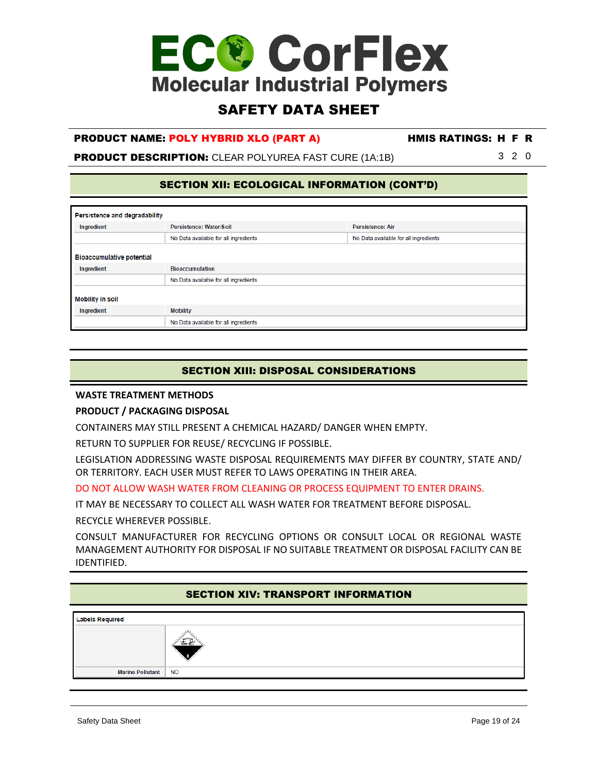### SAFETY DATA SHEET

#### PRODUCT NAME: POLY HYBRID XLO (PART A) HMIS RATINGS: H F R

**PRODUCT DESCRIPTION:** CLEAR POLYUREA FAST CURE (1A:1B) 3 2 0

#### SECTION XII: ECOLOGICAL INFORMATION (CONT'D)

| <b>Persistence and degradability</b> |                                                                                |                         |  |
|--------------------------------------|--------------------------------------------------------------------------------|-------------------------|--|
| Ingredient                           | Persistence: Water/Soil                                                        | <b>Persistence: Air</b> |  |
|                                      | No Data available for all ingredients<br>No Data available for all ingredients |                         |  |
| <b>Bioaccumulative potential</b>     |                                                                                |                         |  |
| Ingredient                           | <b>Bioaccumulation</b>                                                         |                         |  |
|                                      | No Data available for all ingredients                                          |                         |  |
| <b>Mobility in soil</b>              |                                                                                |                         |  |
| Ingredient                           | <b>Mobility</b>                                                                |                         |  |
|                                      | No Data available for all ingredients                                          |                         |  |

#### SECTION XIII: DISPOSAL CONSIDERATIONS

#### **WASTE TREATMENT METHODS**

#### **PRODUCT / PACKAGING DISPOSAL**

CONTAINERS MAY STILL PRESENT A CHEMICAL HAZARD/ DANGER WHEN EMPTY.

RETURN TO SUPPLIER FOR REUSE/ RECYCLING IF POSSIBLE.

LEGISLATION ADDRESSING WASTE DISPOSAL REQUIREMENTS MAY DIFFER BY COUNTRY, STATE AND/ OR TERRITORY. EACH USER MUST REFER TO LAWS OPERATING IN THEIR AREA.

DO NOT ALLOW WASH WATER FROM CLEANING OR PROCESS EQUIPMENT TO ENTER DRAINS.

IT MAY BE NECESSARY TO COLLECT ALL WASH WATER FOR TREATMENT BEFORE DISPOSAL.

RECYCLE WHEREVER POSSIBLE.

CONSULT MANUFACTURER FOR RECYCLING OPTIONS OR CONSULT LOCAL OR REGIONAL WASTE MANAGEMENT AUTHORITY FOR DISPOSAL IF NO SUITABLE TREATMENT OR DISPOSAL FACILITY CAN BE IDENTIFIED.

#### SECTION XIV: TRANSPORT INFORMATION

| <b>Labels Required</b> |  |
|------------------------|--|
|                        |  |
| Marine Pollutant   NO  |  |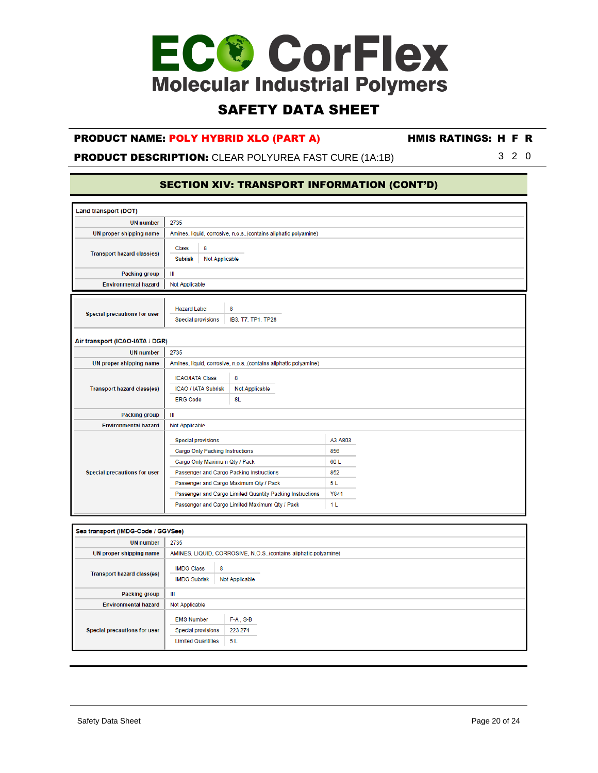### SAFETY DATA SHEET

#### PRODUCT NAME: POLY HYBRID XLO (PART A) HMIS RATINGS: H F R

### **PRODUCT DESCRIPTION:** CLEAR POLYUREA FAST CURE (1A:1B) 3 2 0

#### SECTION XIV: TRANSPORT INFORMATION (CONT'D)

| Land transport (DOT)              |                                                                           |                                                                |         |  |
|-----------------------------------|---------------------------------------------------------------------------|----------------------------------------------------------------|---------|--|
| <b>UN number</b>                  | 2735                                                                      |                                                                |         |  |
| UN proper shipping name           |                                                                           | Amines, liquid, corrosive, n.o.s(contains aliphatic polyamine) |         |  |
|                                   | 8<br>Class                                                                |                                                                |         |  |
| <b>Transport hazard class(es)</b> | Not Applicable<br><b>Subrisk</b>                                          |                                                                |         |  |
| Packing group                     | $\mathbf{III}$                                                            |                                                                |         |  |
| <b>Environmental hazard</b>       | Not Applicable                                                            |                                                                |         |  |
|                                   |                                                                           |                                                                |         |  |
|                                   | <b>Hazard Label</b>                                                       | 8                                                              |         |  |
| Special precautions for user      | Special provisions                                                        | IB3, T7, TP1, TP28                                             |         |  |
|                                   |                                                                           |                                                                |         |  |
| Air transport (ICAO-IATA / DGR)   |                                                                           |                                                                |         |  |
| <b>UN</b> number                  | 2735                                                                      |                                                                |         |  |
| <b>UN proper shipping name</b>    |                                                                           | Amines, liquid, corrosive, n.o.s(contains aliphatic polyamine) |         |  |
|                                   | <b>ICAO/IATA Class</b>                                                    | 8                                                              |         |  |
| <b>Transport hazard class(es)</b> | <b>ICAO / IATA Subrisk</b>                                                | Not Applicable                                                 |         |  |
|                                   | <b>ERG Code</b>                                                           | 8L                                                             |         |  |
| Packing group                     | III                                                                       |                                                                |         |  |
| <b>Environmental hazard</b>       | Not Applicable                                                            |                                                                |         |  |
|                                   |                                                                           |                                                                | A3 A803 |  |
|                                   | Special provisions                                                        |                                                                | 856     |  |
|                                   | Cargo Only Packing Instructions                                           |                                                                | 60 L    |  |
| Special precautions for user      | Cargo Only Maximum Qty / Pack<br>Passenger and Cargo Packing Instructions |                                                                | 852     |  |
|                                   | Passenger and Cargo Maximum Qty / Pack                                    |                                                                | 5 L     |  |
|                                   |                                                                           | Passenger and Cargo Limited Quantity Packing Instructions      | Y841    |  |
|                                   |                                                                           | Passenger and Cargo Limited Maximum Qty / Pack                 | 1 L     |  |
|                                   |                                                                           |                                                                |         |  |

| Sea transport (IMDG-Code / GGVSee) |                                                                                                               |  |  |
|------------------------------------|---------------------------------------------------------------------------------------------------------------|--|--|
| <b>UN number</b>                   | 2735                                                                                                          |  |  |
| UN proper shipping name            | AMINES, LIQUID, CORROSIVE, N.O.S. (contains aliphatic polyamine)                                              |  |  |
| <b>Transport hazard class(es)</b>  | 8<br><b>IMDG Class</b><br>Not Applicable<br><b>IMDG Subrisk</b>                                               |  |  |
| Packing group                      | Ш                                                                                                             |  |  |
| <b>Environmental hazard</b>        | Not Applicable                                                                                                |  |  |
| Special precautions for user       | $F-A$ , $S-B$<br><b>EMS Number</b><br><b>Special provisions</b><br>223 274<br>5L<br><b>Limited Quantities</b> |  |  |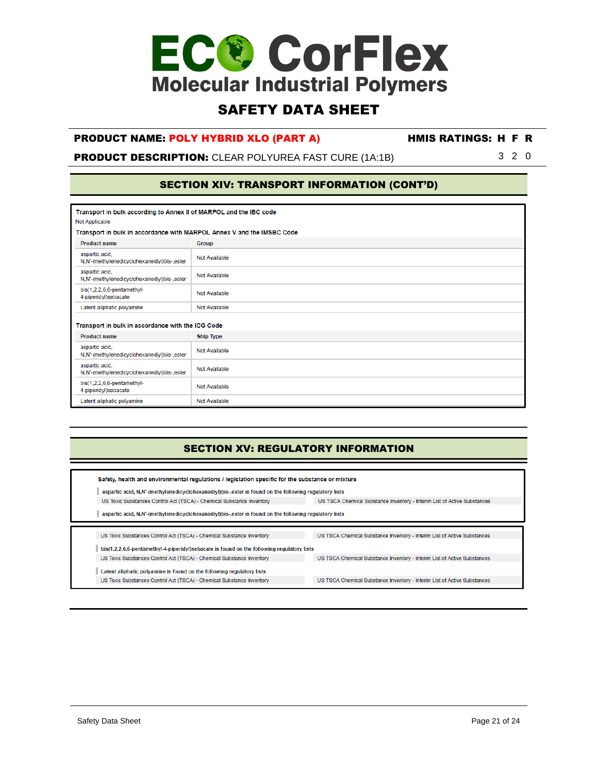### SAFETY DATA SHEET

#### PRODUCT NAME: POLY HYBRID XLO (PART A) HMIS RATINGS: H F R

### **PRODUCT DESCRIPTION:** CLEAR POLYUREA FAST CURE (1A:1B) 3 2 0

#### SECTION XIV: TRANSPORT INFORMATION (CONT'D)

| Transport in bulk according to Annex II of MARPOL and the IBC code     |                      |  |  |  |
|------------------------------------------------------------------------|----------------------|--|--|--|
| Not Applicable                                                         |                      |  |  |  |
| Transport in bulk in accordance with MARPOL Annex V and the IMSBC Code |                      |  |  |  |
| <b>Product name</b>                                                    | <b>Group</b>         |  |  |  |
| aspartic acid,<br>N,N'-(methylenedicyclohexanediyl)bis-,ester          | <b>Not Available</b> |  |  |  |
| aspartic acid.<br>N.N'-(methylenedicyclohexanediyl)bis-.ester          | <b>Not Available</b> |  |  |  |
| bis(1,2,2,6,6-pentamethyl-<br>4-piperidyl)sebacate                     | <b>Not Available</b> |  |  |  |
| Latent aliphatic polyamine                                             | <b>Not Available</b> |  |  |  |
|                                                                        |                      |  |  |  |
| Transport in bulk in accordance with the ICG Code                      |                      |  |  |  |
| <b>Product name</b>                                                    | <b>Ship Type</b>     |  |  |  |
| aspartic acid.<br>N.N'-(methylenedicyclohexanediyl)bis-.ester          | <b>Not Available</b> |  |  |  |
| aspartic acid.<br>N,N'-(methylenedicyclohexanediyl)bis-,ester          | <b>Not Available</b> |  |  |  |
| bis(1,2,2,6,6-pentamethyl-<br>4-piperidyl)sebacate                     | Not Available        |  |  |  |
| Latent aliphatic polyamine                                             | Not Available        |  |  |  |

#### SECTION XV: REGULATORY INFORMATION

| Safety, health and environmental regulations / legislation specific for the substance or mixture      |                                                                          |  |  |  |
|-------------------------------------------------------------------------------------------------------|--------------------------------------------------------------------------|--|--|--|
| aspartic acid, N,N'-(methylenedicyclohexanediyl)bis-,ester is found on the following regulatory lists |                                                                          |  |  |  |
| US Toxic Substances Control Act (TSCA) - Chemical Substance Inventory                                 | US TSCA Chemical Substance Inventory - Interim List of Active Substances |  |  |  |
| aspartic acid. N.N'-(methylenedicyclohexanediyl)bis-,ester is found on the following regulatory lists |                                                                          |  |  |  |
| US Toxic Substances Control Act (TSCA) - Chemical Substance Inventory                                 | US TSCA Chemical Substance Inventory - Interim List of Active Substances |  |  |  |
| bis(1,2,2,6,6-pentamethyl-4-piperidyl)sebacate is found on the following regulatory lists             |                                                                          |  |  |  |
| US Toxic Substances Control Act (TSCA) - Chemical Substance Inventory                                 | US TSCA Chemical Substance Inventory - Interim List of Active Substances |  |  |  |
| Latent aliphatic polyamine is found on the following regulatory lists                                 |                                                                          |  |  |  |
| US Toxic Substances Control Act (TSCA) - Chemical Substance Inventory                                 | US TSCA Chemical Substance Inventory - Interim List of Active Substances |  |  |  |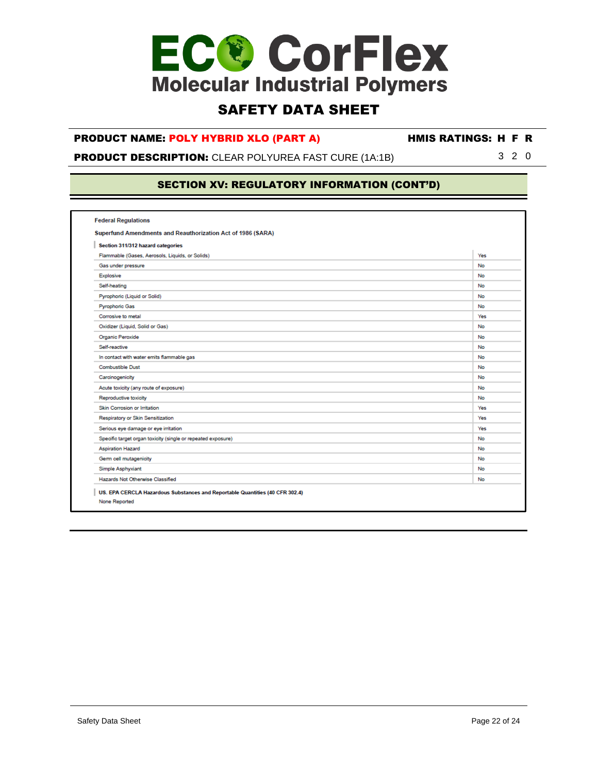### SAFETY DATA SHEET

#### PRODUCT NAME: POLY HYBRID XLO (PART A) HMIS RATINGS: H F R

### **PRODUCT DESCRIPTION:** CLEAR POLYUREA FAST CURE (1A:1B) 3 2 0

#### SECTION XV: REGULATORY INFORMATION (CONT'D)

| Superfund Amendments and Reauthorization Act of 1986 (SARA)  |           |
|--------------------------------------------------------------|-----------|
| Section 311/312 hazard categories                            |           |
| Flammable (Gases, Aerosols, Liquids, or Solids)              | Yes       |
| Gas under pressure                                           | No        |
| <b>Explosive</b>                                             | No        |
| Self-heating                                                 | No        |
| Pyrophoric (Liquid or Solid)                                 | No        |
| <b>Pyrophoric Gas</b>                                        | No        |
| Corrosive to metal                                           | Yes       |
| Oxidizer (Liquid, Solid or Gas)                              | No        |
| Organic Peroxide                                             | No        |
| Self-reactive                                                | No        |
| In contact with water emits flammable gas                    | No        |
| <b>Combustible Dust</b>                                      | No        |
| Carcinogenicity                                              | <b>No</b> |
| Acute toxicity (any route of exposure)                       | No        |
| Reproductive toxicity                                        | No        |
| Skin Corrosion or Irritation                                 | Yes       |
| Respiratory or Skin Sensitization                            | Yes       |
| Serious eye damage or eye irritation                         | Yes       |
| Specific target organ toxicity (single or repeated exposure) | No        |
| <b>Aspiration Hazard</b>                                     | No        |
| Germ cell mutagenicity                                       | No        |
| Simple Asphyxiant                                            | No        |
| Hazards Not Otherwise Classified                             | No        |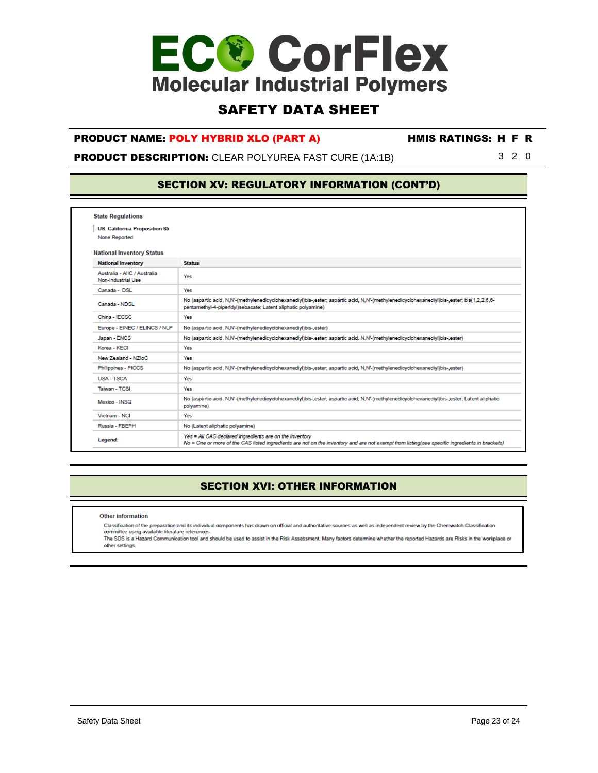### SAFETY DATA SHEET

#### PRODUCT NAME: POLY HYBRID XLO (PART A) HMIS RATINGS: H F R

**PRODUCT DESCRIPTION:** CLEAR POLYUREA FAST CURE (1A:1B) 3 2 0

#### SECTION XV: REGULATORY INFORMATION (CONT'D)

| <b>State Regulations</b><br><b>US. California Proposition 65</b> |                                                                                                                                                                                                             |
|------------------------------------------------------------------|-------------------------------------------------------------------------------------------------------------------------------------------------------------------------------------------------------------|
| None Reported                                                    |                                                                                                                                                                                                             |
|                                                                  |                                                                                                                                                                                                             |
| <b>National Inventory Status</b>                                 |                                                                                                                                                                                                             |
| <b>National Inventory</b>                                        | <b>Status</b>                                                                                                                                                                                               |
| Australia - AllC / Australia<br>Non-Industrial Use               | Yes                                                                                                                                                                                                         |
| Canada - DSL                                                     | Yes                                                                                                                                                                                                         |
| Canada - NDSL                                                    | No (aspartic acid, N,N'-(methylenedicyclohexanediyl)bis-,ester; aspartic acid, N,N'-(methylenedicyclohexanediyl)bis-,ester; bis(1,2,2,6,6-<br>pentamethyl-4-piperidyl)sebacate; Latent aliphatic polyamine) |
| China - IECSC                                                    | Yes                                                                                                                                                                                                         |
| Europe - EINEC / ELINCS / NLP                                    | No (aspartic acid, N,N'-(methylenedicyclohexanediyl)bis-,ester)                                                                                                                                             |
| Japan - ENCS                                                     | No (aspartic acid, N,N'-(methylenedicyclohexanediyl)bis-,ester; aspartic acid, N,N'-(methylenedicyclohexanediyl)bis-,ester)                                                                                 |
| Korea - KECI                                                     | Yes                                                                                                                                                                                                         |
| New Zealand - NZIoC                                              | Yes                                                                                                                                                                                                         |
| Philippines - PICCS                                              | No (aspartic acid, N,N'-(methylenedicyclohexanediyl)bis-,ester; aspartic acid, N,N'-(methylenedicyclohexanediyl)bis-,ester)                                                                                 |
| <b>USA - TSCA</b>                                                | Yes                                                                                                                                                                                                         |
| Taiwan - TCSI                                                    | Yes                                                                                                                                                                                                         |
| Mexico - INSQ                                                    | No (aspartic acid, N,N'-(methylenedicyclohexanediyl)bis-,ester, aspartic acid, N,N'-(methylenedicyclohexanediyl)bis-,ester; Latent aliphatic<br>polyamine)                                                  |
| Vietnam - NCI                                                    | Yes                                                                                                                                                                                                         |
| Russia - FBEPH                                                   | No (Latent aliphatic polyamine)                                                                                                                                                                             |
| Legend:                                                          | Yes = All CAS declared ingredients are on the inventory<br>No = One or more of the CAS listed ingredients are not on the inventory and are not exempt from listing(see specific ingredients in brackets)    |

#### SECTION XVI: OTHER INFORMATION

Other information

Classification of the preparation and its individual components has drawn on official and authoritative sources as well as independent review by the Chemwatch Classification committee using available literature references.

The SDS is a Hazard Communication tool and should be used to assist in the Risk Assessment. Many factors determine whether the reported Hazards are Risks in the workplace or other settings.